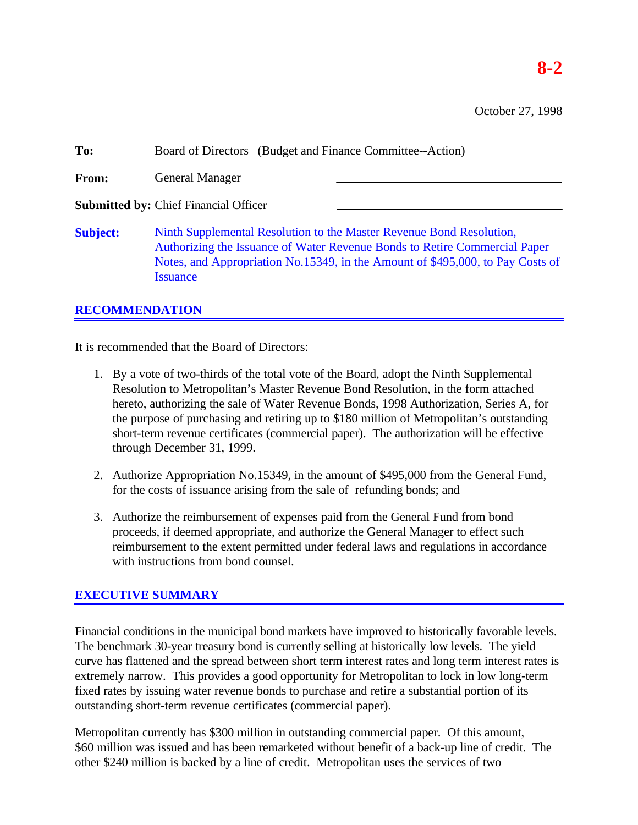October 27, 1998

| To:             | Board of Directors (Budget and Finance Committee--Action)                                                                                                                                                                                               |  |  |
|-----------------|---------------------------------------------------------------------------------------------------------------------------------------------------------------------------------------------------------------------------------------------------------|--|--|
| From:           | <b>General Manager</b>                                                                                                                                                                                                                                  |  |  |
|                 | <b>Submitted by: Chief Financial Officer</b>                                                                                                                                                                                                            |  |  |
| <b>Subject:</b> | Ninth Supplemental Resolution to the Master Revenue Bond Resolution,<br>Authorizing the Issuance of Water Revenue Bonds to Retire Commercial Paper<br>Notes, and Appropriation No.15349, in the Amount of \$495,000, to Pay Costs of<br><b>Issuance</b> |  |  |

## **RECOMMENDATION**

It is recommended that the Board of Directors:

- 1. By a vote of two-thirds of the total vote of the Board, adopt the Ninth Supplemental Resolution to Metropolitan's Master Revenue Bond Resolution, in the form attached hereto, authorizing the sale of Water Revenue Bonds, 1998 Authorization, Series A, for the purpose of purchasing and retiring up to \$180 million of Metropolitan's outstanding short-term revenue certificates (commercial paper). The authorization will be effective through December 31, 1999.
- 2. Authorize Appropriation No.15349, in the amount of \$495,000 from the General Fund, for the costs of issuance arising from the sale of refunding bonds; and
- 3. Authorize the reimbursement of expenses paid from the General Fund from bond proceeds, if deemed appropriate, and authorize the General Manager to effect such reimbursement to the extent permitted under federal laws and regulations in accordance with instructions from bond counsel.

## **EXECUTIVE SUMMARY**

Financial conditions in the municipal bond markets have improved to historically favorable levels. The benchmark 30-year treasury bond is currently selling at historically low levels. The yield curve has flattened and the spread between short term interest rates and long term interest rates is extremely narrow. This provides a good opportunity for Metropolitan to lock in low long-term fixed rates by issuing water revenue bonds to purchase and retire a substantial portion of its outstanding short-term revenue certificates (commercial paper).

Metropolitan currently has \$300 million in outstanding commercial paper. Of this amount, \$60 million was issued and has been remarketed without benefit of a back-up line of credit. The other \$240 million is backed by a line of credit. Metropolitan uses the services of two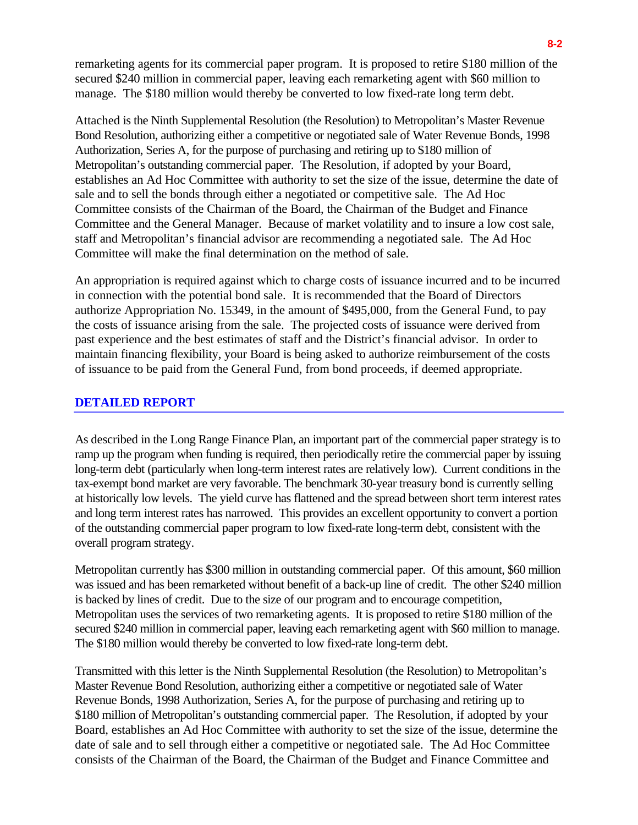remarketing agents for its commercial paper program. It is proposed to retire \$180 million of the secured \$240 million in commercial paper, leaving each remarketing agent with \$60 million to manage. The \$180 million would thereby be converted to low fixed-rate long term debt.

Attached is the Ninth Supplemental Resolution (the Resolution) to Metropolitan's Master Revenue Bond Resolution, authorizing either a competitive or negotiated sale of Water Revenue Bonds, 1998 Authorization, Series A, for the purpose of purchasing and retiring up to \$180 million of Metropolitan's outstanding commercial paper. The Resolution, if adopted by your Board, establishes an Ad Hoc Committee with authority to set the size of the issue, determine the date of sale and to sell the bonds through either a negotiated or competitive sale. The Ad Hoc Committee consists of the Chairman of the Board, the Chairman of the Budget and Finance Committee and the General Manager. Because of market volatility and to insure a low cost sale, staff and Metropolitan's financial advisor are recommending a negotiated sale. The Ad Hoc Committee will make the final determination on the method of sale.

An appropriation is required against which to charge costs of issuance incurred and to be incurred in connection with the potential bond sale. It is recommended that the Board of Directors authorize Appropriation No. 15349, in the amount of \$495,000, from the General Fund, to pay the costs of issuance arising from the sale. The projected costs of issuance were derived from past experience and the best estimates of staff and the District's financial advisor. In order to maintain financing flexibility, your Board is being asked to authorize reimbursement of the costs of issuance to be paid from the General Fund, from bond proceeds, if deemed appropriate.

## **DETAILED REPORT**

As described in the Long Range Finance Plan, an important part of the commercial paper strategy is to ramp up the program when funding is required, then periodically retire the commercial paper by issuing long-term debt (particularly when long-term interest rates are relatively low). Current conditions in the tax-exempt bond market are very favorable. The benchmark 30-year treasury bond is currently selling at historically low levels. The yield curve has flattened and the spread between short term interest rates and long term interest rates has narrowed. This provides an excellent opportunity to convert a portion of the outstanding commercial paper program to low fixed-rate long-term debt, consistent with the overall program strategy.

Metropolitan currently has \$300 million in outstanding commercial paper. Of this amount, \$60 million was issued and has been remarketed without benefit of a back-up line of credit. The other \$240 million is backed by lines of credit. Due to the size of our program and to encourage competition, Metropolitan uses the services of two remarketing agents. It is proposed to retire \$180 million of the secured \$240 million in commercial paper, leaving each remarketing agent with \$60 million to manage. The \$180 million would thereby be converted to low fixed-rate long-term debt.

Transmitted with this letter is the Ninth Supplemental Resolution (the Resolution) to Metropolitan's Master Revenue Bond Resolution, authorizing either a competitive or negotiated sale of Water Revenue Bonds, 1998 Authorization, Series A, for the purpose of purchasing and retiring up to \$180 million of Metropolitan's outstanding commercial paper. The Resolution, if adopted by your Board, establishes an Ad Hoc Committee with authority to set the size of the issue, determine the date of sale and to sell through either a competitive or negotiated sale. The Ad Hoc Committee consists of the Chairman of the Board, the Chairman of the Budget and Finance Committee and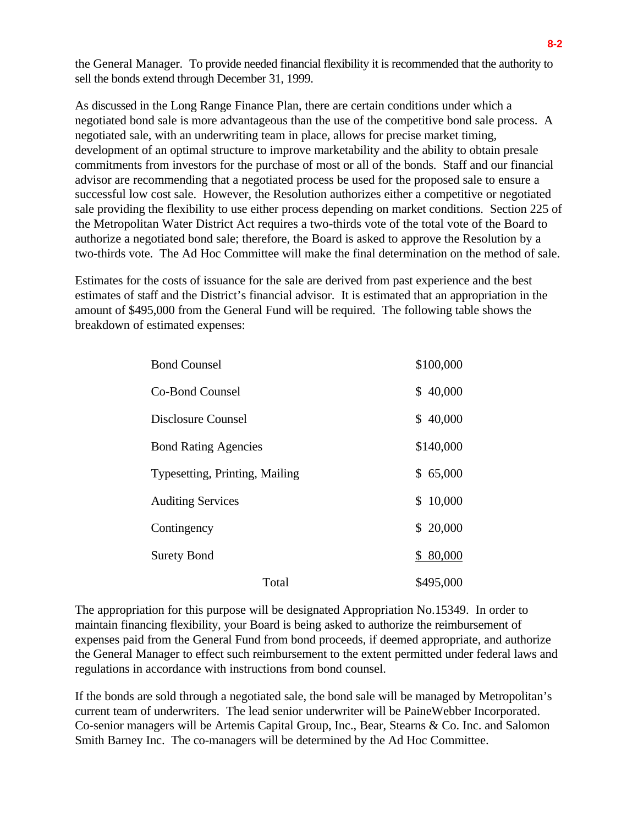the General Manager. To provide needed financial flexibility it is recommended that the authority to sell the bonds extend through December 31, 1999.

As discussed in the Long Range Finance Plan, there are certain conditions under which a negotiated bond sale is more advantageous than the use of the competitive bond sale process. A negotiated sale, with an underwriting team in place, allows for precise market timing, development of an optimal structure to improve marketability and the ability to obtain presale commitments from investors for the purchase of most or all of the bonds. Staff and our financial advisor are recommending that a negotiated process be used for the proposed sale to ensure a successful low cost sale. However, the Resolution authorizes either a competitive or negotiated sale providing the flexibility to use either process depending on market conditions. Section 225 of the Metropolitan Water District Act requires a two-thirds vote of the total vote of the Board to authorize a negotiated bond sale; therefore, the Board is asked to approve the Resolution by a two-thirds vote. The Ad Hoc Committee will make the final determination on the method of sale.

Estimates for the costs of issuance for the sale are derived from past experience and the best estimates of staff and the District's financial advisor. It is estimated that an appropriation in the amount of \$495,000 from the General Fund will be required. The following table shows the breakdown of estimated expenses:

| <b>Bond Counsel</b>            | \$100,000    |
|--------------------------------|--------------|
| Co-Bond Counsel                | \$40,000     |
| Disclosure Counsel             | \$40,000     |
| <b>Bond Rating Agencies</b>    | \$140,000    |
| Typesetting, Printing, Mailing | \$65,000     |
| <b>Auditing Services</b>       | 10,000<br>\$ |
| Contingency                    | \$20,000     |
| <b>Surety Bond</b>             | \$80,000     |
| Total                          | \$495,000    |

The appropriation for this purpose will be designated Appropriation No.15349. In order to maintain financing flexibility, your Board is being asked to authorize the reimbursement of expenses paid from the General Fund from bond proceeds, if deemed appropriate, and authorize the General Manager to effect such reimbursement to the extent permitted under federal laws and regulations in accordance with instructions from bond counsel.

If the bonds are sold through a negotiated sale, the bond sale will be managed by Metropolitan's current team of underwriters. The lead senior underwriter will be PaineWebber Incorporated. Co-senior managers will be Artemis Capital Group, Inc., Bear, Stearns & Co. Inc. and Salomon Smith Barney Inc. The co-managers will be determined by the Ad Hoc Committee.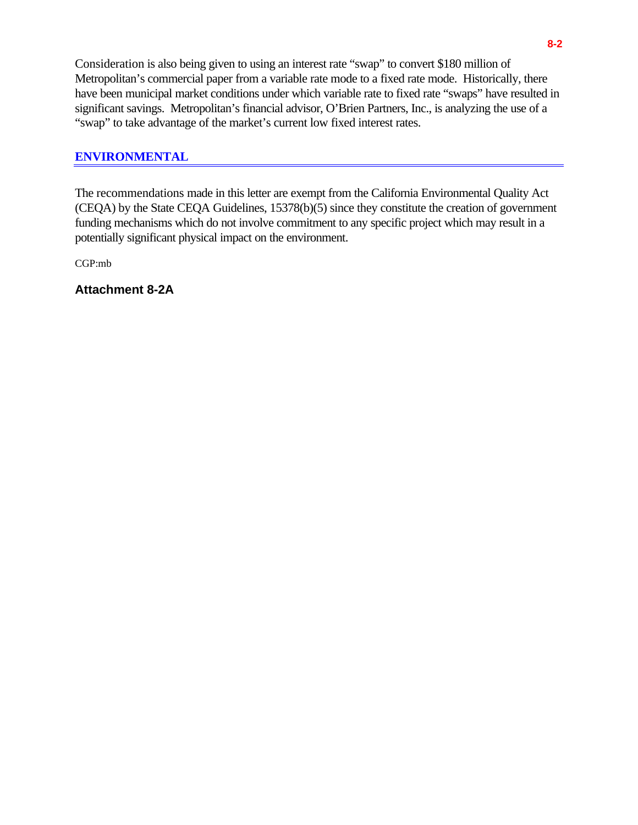Consideration is also being given to using an interest rate "swap" to convert \$180 million of Metropolitan's commercial paper from a variable rate mode to a fixed rate mode. Historically, there have been municipal market conditions under which variable rate to fixed rate "swaps" have resulted in significant savings. Metropolitan's financial advisor, O'Brien Partners, Inc., is analyzing the use of a "swap" to take advantage of the market's current low fixed interest rates.

## **ENVIRONMENTAL**

The recommendations made in this letter are exempt from the California Environmental Quality Act (CEQA) by the State CEQA Guidelines, 15378(b)(5) since they constitute the creation of government funding mechanisms which do not involve commitment to any specific project which may result in a potentially significant physical impact on the environment.

CGP:mb

**Attachment 8-2A**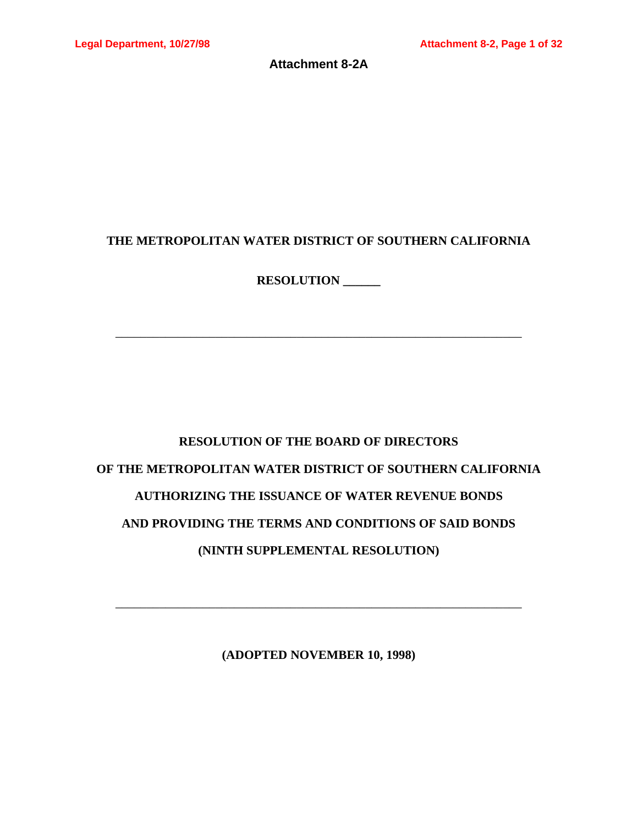**Attachment 8-2A**

## **THE METROPOLITAN WATER DISTRICT OF SOUTHERN CALIFORNIA**

**RESOLUTION \_\_\_\_\_\_**

\_\_\_\_\_\_\_\_\_\_\_\_\_\_\_\_\_\_\_\_\_\_\_\_\_\_\_\_\_\_\_\_\_\_\_\_\_\_\_\_\_\_\_\_\_\_\_\_\_\_\_\_\_\_\_\_\_\_\_\_\_\_\_\_\_

# **RESOLUTION OF THE BOARD OF DIRECTORS OF THE METROPOLITAN WATER DISTRICT OF SOUTHERN CALIFORNIA AUTHORIZING THE ISSUANCE OF WATER REVENUE BONDS AND PROVIDING THE TERMS AND CONDITIONS OF SAID BONDS (NINTH SUPPLEMENTAL RESOLUTION)**

**(ADOPTED NOVEMBER 10, 1998)**

\_\_\_\_\_\_\_\_\_\_\_\_\_\_\_\_\_\_\_\_\_\_\_\_\_\_\_\_\_\_\_\_\_\_\_\_\_\_\_\_\_\_\_\_\_\_\_\_\_\_\_\_\_\_\_\_\_\_\_\_\_\_\_\_\_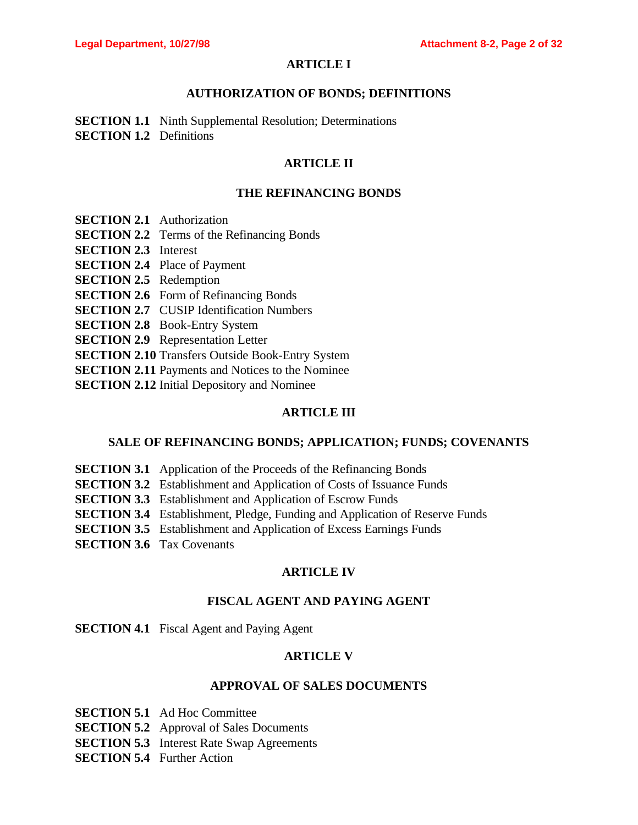## **ARTICLE I**

## **AUTHORIZATION OF BONDS; DEFINITIONS**

**SECTION 1.1** Ninth Supplemental Resolution; Determinations **SECTION 1.2** Definitions

## **ARTICLE II**

## **THE REFINANCING BONDS**

- **SECTION 2.1** Authorization
- **SECTION 2.2** Terms of the Refinancing Bonds
- **SECTION 2.3** Interest
- **SECTION 2.4** Place of Payment
- **SECTION 2.5** Redemption
- **SECTION 2.6** Form of Refinancing Bonds
- **SECTION 2.7** CUSIP Identification Numbers
- **SECTION 2.8** Book-Entry System
- **SECTION 2.9** Representation Letter
- **SECTION 2.10** Transfers Outside Book-Entry System
- **SECTION 2.11** Payments and Notices to the Nominee
- **SECTION 2.12** Initial Depository and Nominee

## **ARTICLE III**

## **SALE OF REFINANCING BONDS; APPLICATION; FUNDS; COVENANTS**

- **SECTION 3.1** Application of the Proceeds of the Refinancing Bonds
- **SECTION 3.2** Establishment and Application of Costs of Issuance Funds
- **SECTION 3.3** Establishment and Application of Escrow Funds
- **SECTION 3.4** Establishment, Pledge, Funding and Application of Reserve Funds
- **SECTION 3.5** Establishment and Application of Excess Earnings Funds
- **SECTION 3.6** Tax Covenants

## **ARTICLE IV**

## **FISCAL AGENT AND PAYING AGENT**

## **SECTION 4.1** Fiscal Agent and Paying Agent

## **ARTICLE V**

## **APPROVAL OF SALES DOCUMENTS**

**SECTION 5.1** Ad Hoc Committee

**SECTION 5.2** Approval of Sales Documents

**SECTION 5.3** Interest Rate Swap Agreements

**SECTION 5.4** Further Action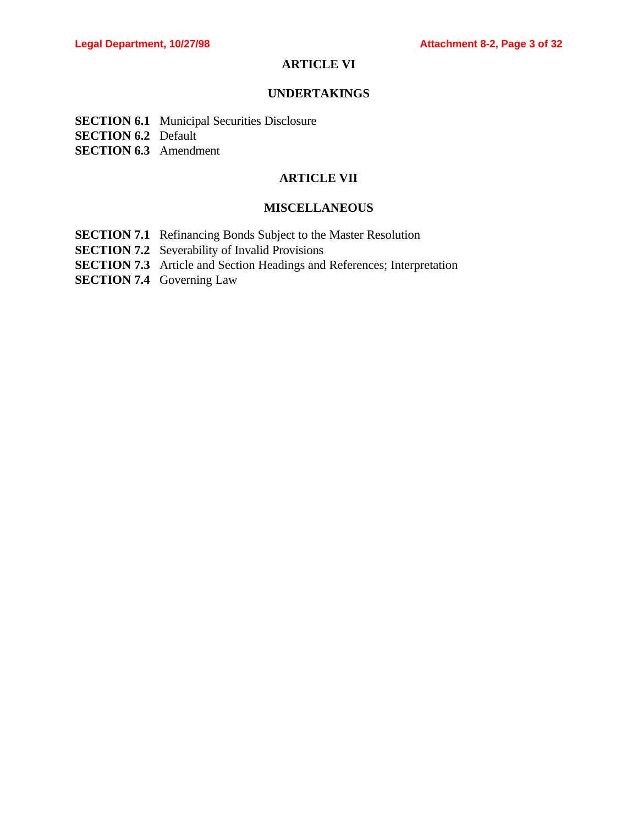## **ARTICLE VI**

## **UNDERTAKINGS**

- **SECTION 6.1** Municipal Securities Disclosure
- **SECTION 6.2** Default
- **SECTION 6.3** Amendment

## **ARTICLE VII**

## **MISCELLANEOUS**

- **SECTION 7.1** Refinancing Bonds Subject to the Master Resolution
- **SECTION 7.2** Severability of Invalid Provisions
- **SECTION 7.3** Article and Section Headings and References; Interpretation
- **SECTION 7.4** Governing Law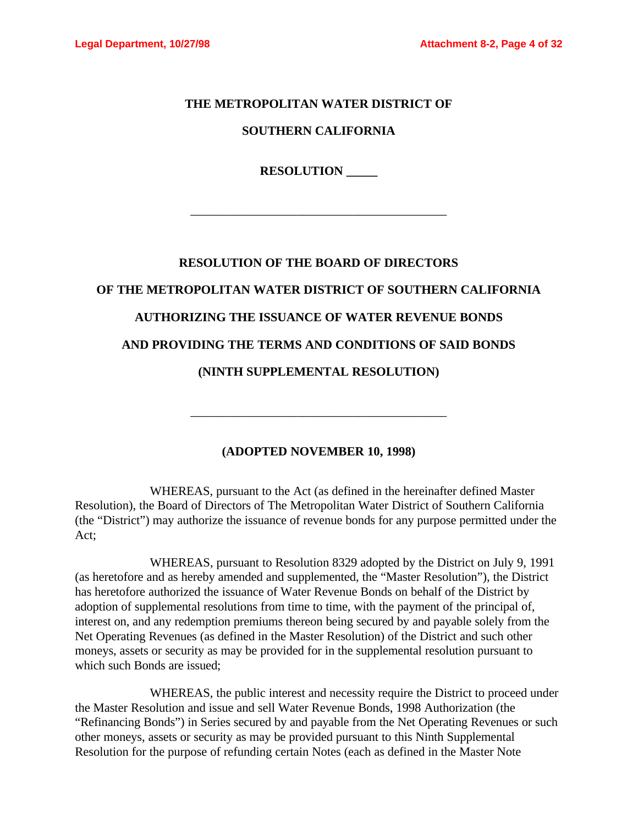## **THE METROPOLITAN WATER DISTRICT OF**

## **SOUTHERN CALIFORNIA**

**RESOLUTION \_\_\_\_\_**

\_\_\_\_\_\_\_\_\_\_\_\_\_\_\_\_\_\_\_\_\_\_\_\_\_\_\_\_\_\_\_\_\_\_\_\_\_\_\_\_\_

# **RESOLUTION OF THE BOARD OF DIRECTORS OF THE METROPOLITAN WATER DISTRICT OF SOUTHERN CALIFORNIA AUTHORIZING THE ISSUANCE OF WATER REVENUE BONDS AND PROVIDING THE TERMS AND CONDITIONS OF SAID BONDS (NINTH SUPPLEMENTAL RESOLUTION)**

## **(ADOPTED NOVEMBER 10, 1998)**

\_\_\_\_\_\_\_\_\_\_\_\_\_\_\_\_\_\_\_\_\_\_\_\_\_\_\_\_\_\_\_\_\_\_\_\_\_\_\_\_\_

WHEREAS, pursuant to the Act (as defined in the hereinafter defined Master Resolution), the Board of Directors of The Metropolitan Water District of Southern California (the "District") may authorize the issuance of revenue bonds for any purpose permitted under the Act;

WHEREAS, pursuant to Resolution 8329 adopted by the District on July 9, 1991 (as heretofore and as hereby amended and supplemented, the "Master Resolution"), the District has heretofore authorized the issuance of Water Revenue Bonds on behalf of the District by adoption of supplemental resolutions from time to time, with the payment of the principal of, interest on, and any redemption premiums thereon being secured by and payable solely from the Net Operating Revenues (as defined in the Master Resolution) of the District and such other moneys, assets or security as may be provided for in the supplemental resolution pursuant to which such Bonds are issued;

WHEREAS, the public interest and necessity require the District to proceed under the Master Resolution and issue and sell Water Revenue Bonds, 1998 Authorization (the "Refinancing Bonds") in Series secured by and payable from the Net Operating Revenues or such other moneys, assets or security as may be provided pursuant to this Ninth Supplemental Resolution for the purpose of refunding certain Notes (each as defined in the Master Note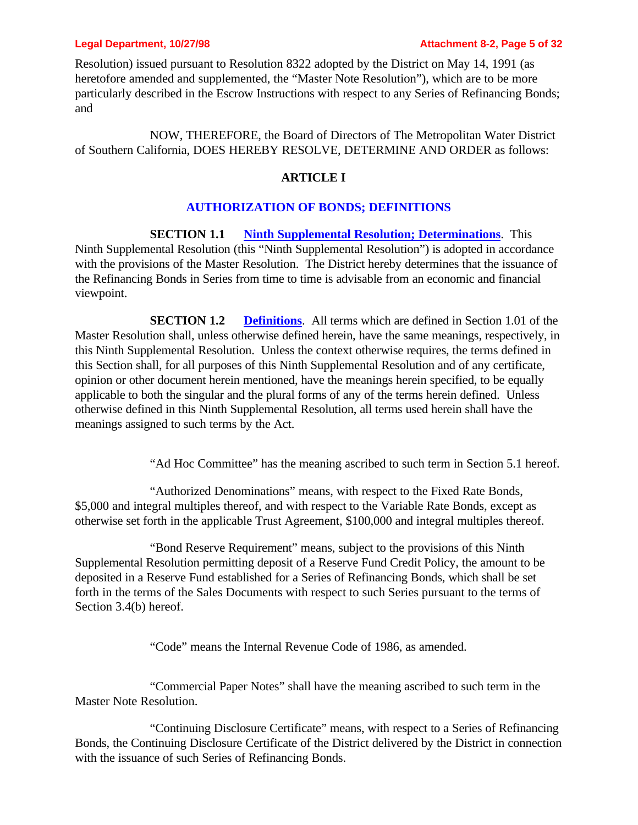Resolution) issued pursuant to Resolution 8322 adopted by the District on May 14, 1991 (as heretofore amended and supplemented, the "Master Note Resolution"), which are to be more particularly described in the Escrow Instructions with respect to any Series of Refinancing Bonds; and

NOW, THEREFORE, the Board of Directors of The Metropolitan Water District of Southern California, DOES HEREBY RESOLVE, DETERMINE AND ORDER as follows:

## **ARTICLE I**

## **AUTHORIZATION OF BONDS; DEFINITIONS**

**SECTION 1.1 Ninth Supplemental Resolution; Determinations**. This Ninth Supplemental Resolution (this "Ninth Supplemental Resolution") is adopted in accordance with the provisions of the Master Resolution. The District hereby determines that the issuance of the Refinancing Bonds in Series from time to time is advisable from an economic and financial viewpoint.

**SECTION 1.2 Definitions**. All terms which are defined in Section 1.01 of the Master Resolution shall, unless otherwise defined herein, have the same meanings, respectively, in this Ninth Supplemental Resolution. Unless the context otherwise requires, the terms defined in this Section shall, for all purposes of this Ninth Supplemental Resolution and of any certificate, opinion or other document herein mentioned, have the meanings herein specified, to be equally applicable to both the singular and the plural forms of any of the terms herein defined. Unless otherwise defined in this Ninth Supplemental Resolution, all terms used herein shall have the meanings assigned to such terms by the Act.

"Ad Hoc Committee" has the meaning ascribed to such term in Section 5.1 hereof.

"Authorized Denominations" means, with respect to the Fixed Rate Bonds, \$5,000 and integral multiples thereof, and with respect to the Variable Rate Bonds, except as otherwise set forth in the applicable Trust Agreement, \$100,000 and integral multiples thereof.

"Bond Reserve Requirement" means, subject to the provisions of this Ninth Supplemental Resolution permitting deposit of a Reserve Fund Credit Policy, the amount to be deposited in a Reserve Fund established for a Series of Refinancing Bonds, which shall be set forth in the terms of the Sales Documents with respect to such Series pursuant to the terms of Section 3.4(b) hereof.

"Code" means the Internal Revenue Code of 1986, as amended.

"Commercial Paper Notes" shall have the meaning ascribed to such term in the Master Note Resolution.

"Continuing Disclosure Certificate" means, with respect to a Series of Refinancing Bonds, the Continuing Disclosure Certificate of the District delivered by the District in connection with the issuance of such Series of Refinancing Bonds.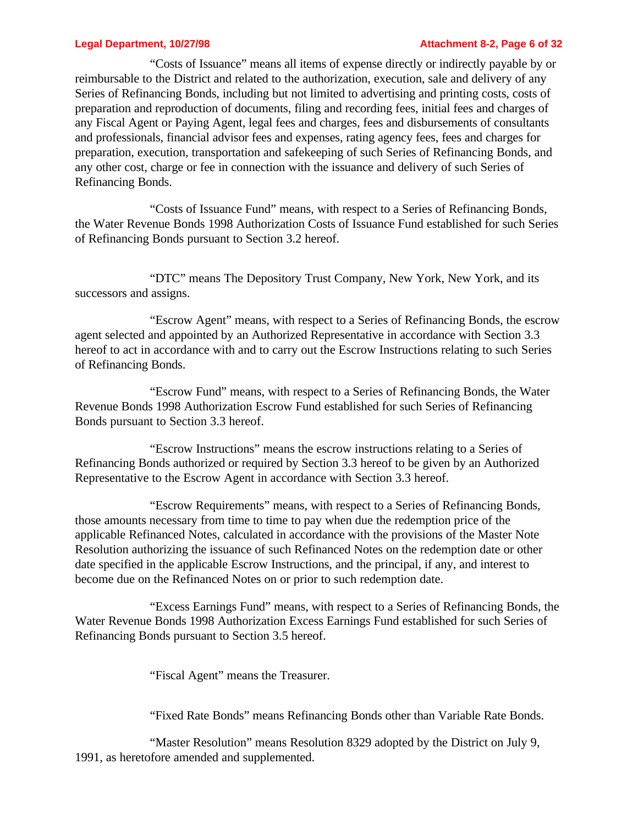### **Legal Department, 10/27/98 Attachment 8-2, Page 6 of 32**

"Costs of Issuance" means all items of expense directly or indirectly payable by or reimbursable to the District and related to the authorization, execution, sale and delivery of any Series of Refinancing Bonds, including but not limited to advertising and printing costs, costs of preparation and reproduction of documents, filing and recording fees, initial fees and charges of any Fiscal Agent or Paying Agent, legal fees and charges, fees and disbursements of consultants and professionals, financial advisor fees and expenses, rating agency fees, fees and charges for preparation, execution, transportation and safekeeping of such Series of Refinancing Bonds, and any other cost, charge or fee in connection with the issuance and delivery of such Series of Refinancing Bonds.

"Costs of Issuance Fund" means, with respect to a Series of Refinancing Bonds, the Water Revenue Bonds 1998 Authorization Costs of Issuance Fund established for such Series of Refinancing Bonds pursuant to Section 3.2 hereof.

"DTC" means The Depository Trust Company, New York, New York, and its successors and assigns.

"Escrow Agent" means, with respect to a Series of Refinancing Bonds, the escrow agent selected and appointed by an Authorized Representative in accordance with Section 3.3 hereof to act in accordance with and to carry out the Escrow Instructions relating to such Series of Refinancing Bonds.

"Escrow Fund" means, with respect to a Series of Refinancing Bonds, the Water Revenue Bonds 1998 Authorization Escrow Fund established for such Series of Refinancing Bonds pursuant to Section 3.3 hereof.

"Escrow Instructions" means the escrow instructions relating to a Series of Refinancing Bonds authorized or required by Section 3.3 hereof to be given by an Authorized Representative to the Escrow Agent in accordance with Section 3.3 hereof.

"Escrow Requirements" means, with respect to a Series of Refinancing Bonds, those amounts necessary from time to time to pay when due the redemption price of the applicable Refinanced Notes, calculated in accordance with the provisions of the Master Note Resolution authorizing the issuance of such Refinanced Notes on the redemption date or other date specified in the applicable Escrow Instructions, and the principal, if any, and interest to become due on the Refinanced Notes on or prior to such redemption date.

"Excess Earnings Fund" means, with respect to a Series of Refinancing Bonds, the Water Revenue Bonds 1998 Authorization Excess Earnings Fund established for such Series of Refinancing Bonds pursuant to Section 3.5 hereof.

"Fiscal Agent" means the Treasurer.

"Fixed Rate Bonds" means Refinancing Bonds other than Variable Rate Bonds.

"Master Resolution" means Resolution 8329 adopted by the District on July 9, 1991, as heretofore amended and supplemented.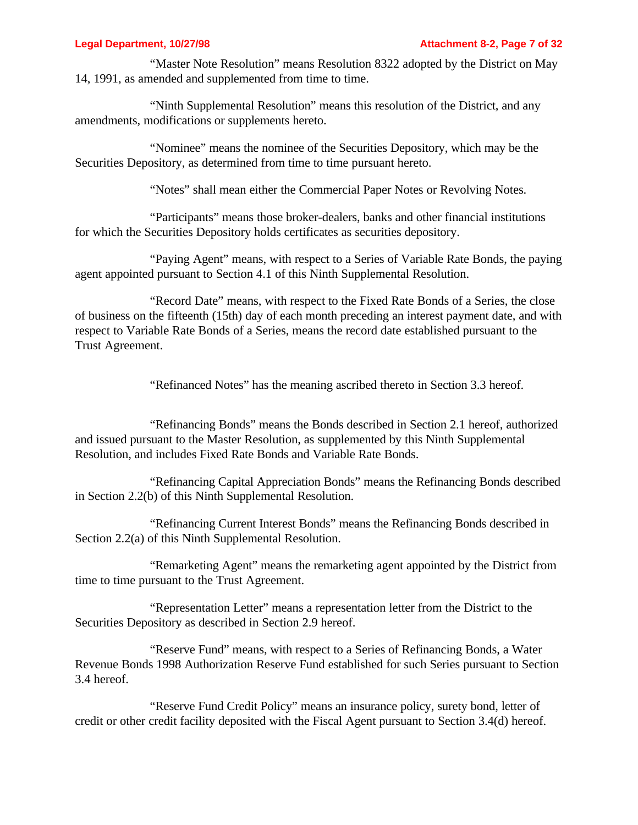"Master Note Resolution" means Resolution 8322 adopted by the District on May 14, 1991, as amended and supplemented from time to time.

"Ninth Supplemental Resolution" means this resolution of the District, and any amendments, modifications or supplements hereto.

"Nominee" means the nominee of the Securities Depository, which may be the Securities Depository, as determined from time to time pursuant hereto.

"Notes" shall mean either the Commercial Paper Notes or Revolving Notes.

"Participants" means those broker-dealers, banks and other financial institutions for which the Securities Depository holds certificates as securities depository.

"Paying Agent" means, with respect to a Series of Variable Rate Bonds, the paying agent appointed pursuant to Section 4.1 of this Ninth Supplemental Resolution.

"Record Date" means, with respect to the Fixed Rate Bonds of a Series, the close of business on the fifteenth (15th) day of each month preceding an interest payment date, and with respect to Variable Rate Bonds of a Series, means the record date established pursuant to the Trust Agreement.

"Refinanced Notes" has the meaning ascribed thereto in Section 3.3 hereof.

"Refinancing Bonds" means the Bonds described in Section 2.1 hereof, authorized and issued pursuant to the Master Resolution, as supplemented by this Ninth Supplemental Resolution, and includes Fixed Rate Bonds and Variable Rate Bonds.

"Refinancing Capital Appreciation Bonds" means the Refinancing Bonds described in Section 2.2(b) of this Ninth Supplemental Resolution.

"Refinancing Current Interest Bonds" means the Refinancing Bonds described in Section 2.2(a) of this Ninth Supplemental Resolution.

"Remarketing Agent" means the remarketing agent appointed by the District from time to time pursuant to the Trust Agreement.

"Representation Letter" means a representation letter from the District to the Securities Depository as described in Section 2.9 hereof.

"Reserve Fund" means, with respect to a Series of Refinancing Bonds, a Water Revenue Bonds 1998 Authorization Reserve Fund established for such Series pursuant to Section 3.4 hereof.

"Reserve Fund Credit Policy" means an insurance policy, surety bond, letter of credit or other credit facility deposited with the Fiscal Agent pursuant to Section 3.4(d) hereof.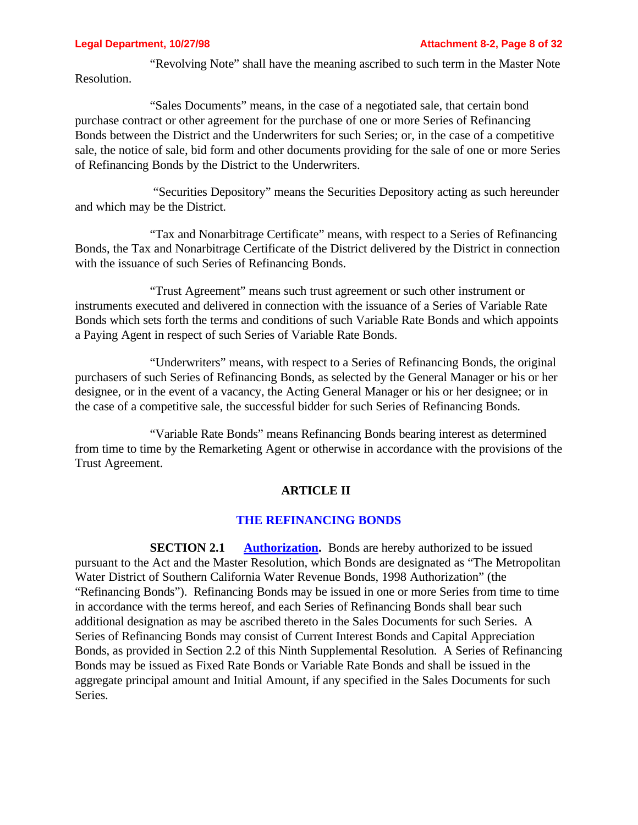"Revolving Note" shall have the meaning ascribed to such term in the Master Note Resolution.

"Sales Documents" means, in the case of a negotiated sale, that certain bond purchase contract or other agreement for the purchase of one or more Series of Refinancing Bonds between the District and the Underwriters for such Series; or, in the case of a competitive sale, the notice of sale, bid form and other documents providing for the sale of one or more Series of Refinancing Bonds by the District to the Underwriters.

 "Securities Depository" means the Securities Depository acting as such hereunder and which may be the District.

"Tax and Nonarbitrage Certificate" means, with respect to a Series of Refinancing Bonds, the Tax and Nonarbitrage Certificate of the District delivered by the District in connection with the issuance of such Series of Refinancing Bonds.

"Trust Agreement" means such trust agreement or such other instrument or instruments executed and delivered in connection with the issuance of a Series of Variable Rate Bonds which sets forth the terms and conditions of such Variable Rate Bonds and which appoints a Paying Agent in respect of such Series of Variable Rate Bonds.

"Underwriters" means, with respect to a Series of Refinancing Bonds, the original purchasers of such Series of Refinancing Bonds, as selected by the General Manager or his or her designee, or in the event of a vacancy, the Acting General Manager or his or her designee; or in the case of a competitive sale, the successful bidder for such Series of Refinancing Bonds.

"Variable Rate Bonds" means Refinancing Bonds bearing interest as determined from time to time by the Remarketing Agent or otherwise in accordance with the provisions of the Trust Agreement.

### **ARTICLE II**

## **THE REFINANCING BONDS**

**SECTION 2.1 Authorization.** Bonds are hereby authorized to be issued pursuant to the Act and the Master Resolution, which Bonds are designated as "The Metropolitan Water District of Southern California Water Revenue Bonds, 1998 Authorization" (the "Refinancing Bonds"). Refinancing Bonds may be issued in one or more Series from time to time in accordance with the terms hereof, and each Series of Refinancing Bonds shall bear such additional designation as may be ascribed thereto in the Sales Documents for such Series. A Series of Refinancing Bonds may consist of Current Interest Bonds and Capital Appreciation Bonds, as provided in Section 2.2 of this Ninth Supplemental Resolution. A Series of Refinancing Bonds may be issued as Fixed Rate Bonds or Variable Rate Bonds and shall be issued in the aggregate principal amount and Initial Amount, if any specified in the Sales Documents for such Series.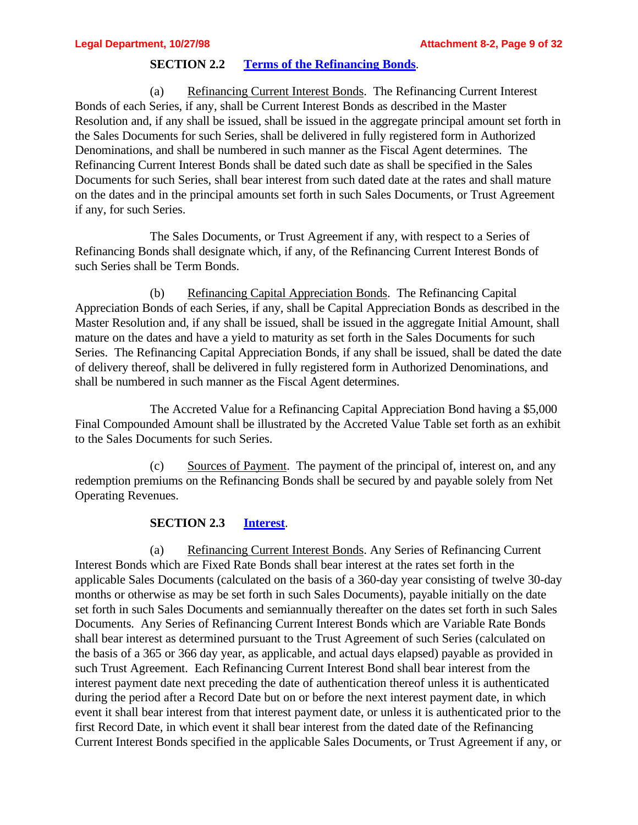## **SECTION 2.2 Terms of the Refinancing Bonds**.

(a) Refinancing Current Interest Bonds. The Refinancing Current Interest Bonds of each Series, if any, shall be Current Interest Bonds as described in the Master Resolution and, if any shall be issued, shall be issued in the aggregate principal amount set forth in the Sales Documents for such Series, shall be delivered in fully registered form in Authorized Denominations, and shall be numbered in such manner as the Fiscal Agent determines. The Refinancing Current Interest Bonds shall be dated such date as shall be specified in the Sales Documents for such Series, shall bear interest from such dated date at the rates and shall mature on the dates and in the principal amounts set forth in such Sales Documents, or Trust Agreement if any, for such Series.

The Sales Documents, or Trust Agreement if any, with respect to a Series of Refinancing Bonds shall designate which, if any, of the Refinancing Current Interest Bonds of such Series shall be Term Bonds.

(b) Refinancing Capital Appreciation Bonds. The Refinancing Capital Appreciation Bonds of each Series, if any, shall be Capital Appreciation Bonds as described in the Master Resolution and, if any shall be issued, shall be issued in the aggregate Initial Amount, shall mature on the dates and have a yield to maturity as set forth in the Sales Documents for such Series. The Refinancing Capital Appreciation Bonds, if any shall be issued, shall be dated the date of delivery thereof, shall be delivered in fully registered form in Authorized Denominations, and shall be numbered in such manner as the Fiscal Agent determines.

The Accreted Value for a Refinancing Capital Appreciation Bond having a \$5,000 Final Compounded Amount shall be illustrated by the Accreted Value Table set forth as an exhibit to the Sales Documents for such Series.

(c) Sources of Payment. The payment of the principal of, interest on, and any redemption premiums on the Refinancing Bonds shall be secured by and payable solely from Net Operating Revenues.

## **SECTION 2.3 Interest**.

(a) Refinancing Current Interest Bonds. Any Series of Refinancing Current Interest Bonds which are Fixed Rate Bonds shall bear interest at the rates set forth in the applicable Sales Documents (calculated on the basis of a 360-day year consisting of twelve 30-day months or otherwise as may be set forth in such Sales Documents), payable initially on the date set forth in such Sales Documents and semiannually thereafter on the dates set forth in such Sales Documents. Any Series of Refinancing Current Interest Bonds which are Variable Rate Bonds shall bear interest as determined pursuant to the Trust Agreement of such Series (calculated on the basis of a 365 or 366 day year, as applicable, and actual days elapsed) payable as provided in such Trust Agreement. Each Refinancing Current Interest Bond shall bear interest from the interest payment date next preceding the date of authentication thereof unless it is authenticated during the period after a Record Date but on or before the next interest payment date, in which event it shall bear interest from that interest payment date, or unless it is authenticated prior to the first Record Date, in which event it shall bear interest from the dated date of the Refinancing Current Interest Bonds specified in the applicable Sales Documents, or Trust Agreement if any, or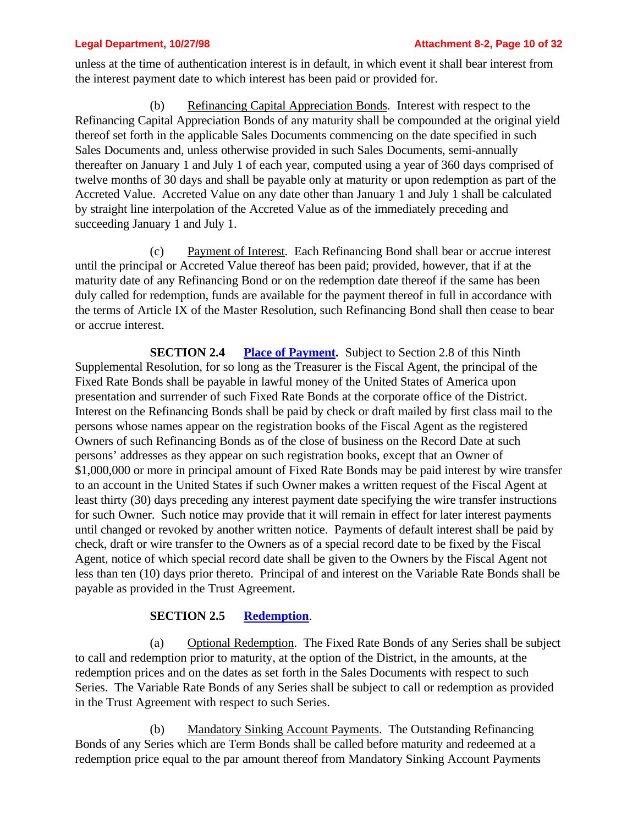unless at the time of authentication interest is in default, in which event it shall bear interest from the interest payment date to which interest has been paid or provided for.

(b) Refinancing Capital Appreciation Bonds. Interest with respect to the Refinancing Capital Appreciation Bonds of any maturity shall be compounded at the original yield thereof set forth in the applicable Sales Documents commencing on the date specified in such Sales Documents and, unless otherwise provided in such Sales Documents, semi-annually thereafter on January 1 and July 1 of each year, computed using a year of 360 days comprised of twelve months of 30 days and shall be payable only at maturity or upon redemption as part of the Accreted Value. Accreted Value on any date other than January 1 and July 1 shall be calculated by straight line interpolation of the Accreted Value as of the immediately preceding and succeeding January 1 and July 1.

(c) Payment of Interest. Each Refinancing Bond shall bear or accrue interest until the principal or Accreted Value thereof has been paid; provided, however, that if at the maturity date of any Refinancing Bond or on the redemption date thereof if the same has been duly called for redemption, funds are available for the payment thereof in full in accordance with the terms of Article IX of the Master Resolution, such Refinancing Bond shall then cease to bear or accrue interest.

**SECTION 2.4** Place of Payment. Subject to Section 2.8 of this Ninth Supplemental Resolution, for so long as the Treasurer is the Fiscal Agent, the principal of the Fixed Rate Bonds shall be payable in lawful money of the United States of America upon presentation and surrender of such Fixed Rate Bonds at the corporate office of the District. Interest on the Refinancing Bonds shall be paid by check or draft mailed by first class mail to the persons whose names appear on the registration books of the Fiscal Agent as the registered Owners of such Refinancing Bonds as of the close of business on the Record Date at such persons' addresses as they appear on such registration books, except that an Owner of \$1,000,000 or more in principal amount of Fixed Rate Bonds may be paid interest by wire transfer to an account in the United States if such Owner makes a written request of the Fiscal Agent at least thirty (30) days preceding any interest payment date specifying the wire transfer instructions for such Owner. Such notice may provide that it will remain in effect for later interest payments until changed or revoked by another written notice. Payments of default interest shall be paid by check, draft or wire transfer to the Owners as of a special record date to be fixed by the Fiscal Agent, notice of which special record date shall be given to the Owners by the Fiscal Agent not less than ten (10) days prior thereto. Principal of and interest on the Variable Rate Bonds shall be payable as provided in the Trust Agreement.

## **SECTION 2.5 Redemption**.

(a) Optional Redemption. The Fixed Rate Bonds of any Series shall be subject to call and redemption prior to maturity, at the option of the District, in the amounts, at the redemption prices and on the dates as set forth in the Sales Documents with respect to such Series. The Variable Rate Bonds of any Series shall be subject to call or redemption as provided in the Trust Agreement with respect to such Series.

(b) Mandatory Sinking Account Payments. The Outstanding Refinancing Bonds of any Series which are Term Bonds shall be called before maturity and redeemed at a redemption price equal to the par amount thereof from Mandatory Sinking Account Payments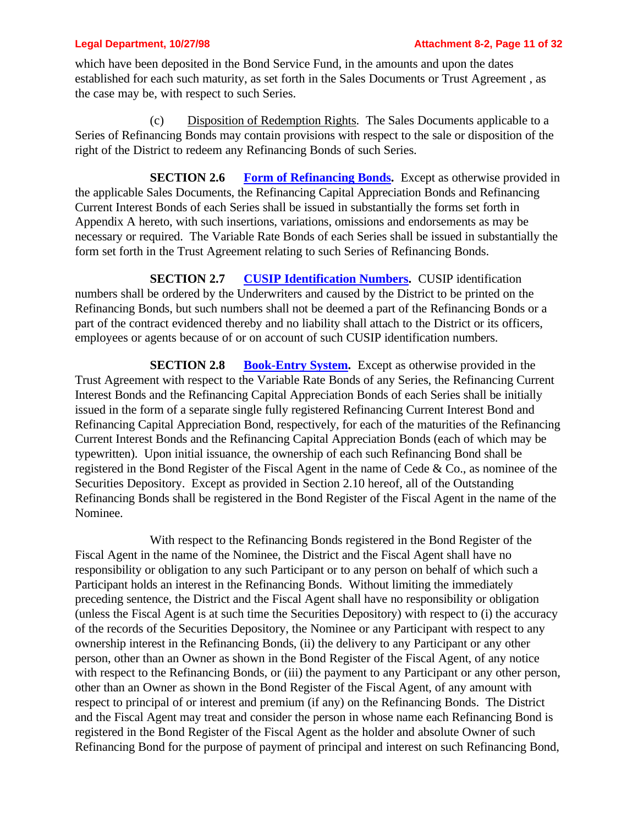which have been deposited in the Bond Service Fund, in the amounts and upon the dates established for each such maturity, as set forth in the Sales Documents or Trust Agreement , as the case may be, with respect to such Series.

(c) Disposition of Redemption Rights. The Sales Documents applicable to a Series of Refinancing Bonds may contain provisions with respect to the sale or disposition of the right of the District to redeem any Refinancing Bonds of such Series.

**SECTION 2.6** Form of Refinancing Bonds. Except as otherwise provided in the applicable Sales Documents, the Refinancing Capital Appreciation Bonds and Refinancing Current Interest Bonds of each Series shall be issued in substantially the forms set forth in Appendix A hereto, with such insertions, variations, omissions and endorsements as may be necessary or required. The Variable Rate Bonds of each Series shall be issued in substantially the form set forth in the Trust Agreement relating to such Series of Refinancing Bonds.

**SECTION 2.7 CUSIP Identification Numbers.** CUSIP identification numbers shall be ordered by the Underwriters and caused by the District to be printed on the Refinancing Bonds, but such numbers shall not be deemed a part of the Refinancing Bonds or a part of the contract evidenced thereby and no liability shall attach to the District or its officers, employees or agents because of or on account of such CUSIP identification numbers.

**SECTION 2.8 Book-Entry System.** Except as otherwise provided in the Trust Agreement with respect to the Variable Rate Bonds of any Series, the Refinancing Current Interest Bonds and the Refinancing Capital Appreciation Bonds of each Series shall be initially issued in the form of a separate single fully registered Refinancing Current Interest Bond and Refinancing Capital Appreciation Bond, respectively, for each of the maturities of the Refinancing Current Interest Bonds and the Refinancing Capital Appreciation Bonds (each of which may be typewritten). Upon initial issuance, the ownership of each such Refinancing Bond shall be registered in the Bond Register of the Fiscal Agent in the name of Cede & Co., as nominee of the Securities Depository. Except as provided in Section 2.10 hereof, all of the Outstanding Refinancing Bonds shall be registered in the Bond Register of the Fiscal Agent in the name of the Nominee.

With respect to the Refinancing Bonds registered in the Bond Register of the Fiscal Agent in the name of the Nominee, the District and the Fiscal Agent shall have no responsibility or obligation to any such Participant or to any person on behalf of which such a Participant holds an interest in the Refinancing Bonds. Without limiting the immediately preceding sentence, the District and the Fiscal Agent shall have no responsibility or obligation (unless the Fiscal Agent is at such time the Securities Depository) with respect to (i) the accuracy of the records of the Securities Depository, the Nominee or any Participant with respect to any ownership interest in the Refinancing Bonds, (ii) the delivery to any Participant or any other person, other than an Owner as shown in the Bond Register of the Fiscal Agent, of any notice with respect to the Refinancing Bonds, or (iii) the payment to any Participant or any other person, other than an Owner as shown in the Bond Register of the Fiscal Agent, of any amount with respect to principal of or interest and premium (if any) on the Refinancing Bonds. The District and the Fiscal Agent may treat and consider the person in whose name each Refinancing Bond is registered in the Bond Register of the Fiscal Agent as the holder and absolute Owner of such Refinancing Bond for the purpose of payment of principal and interest on such Refinancing Bond,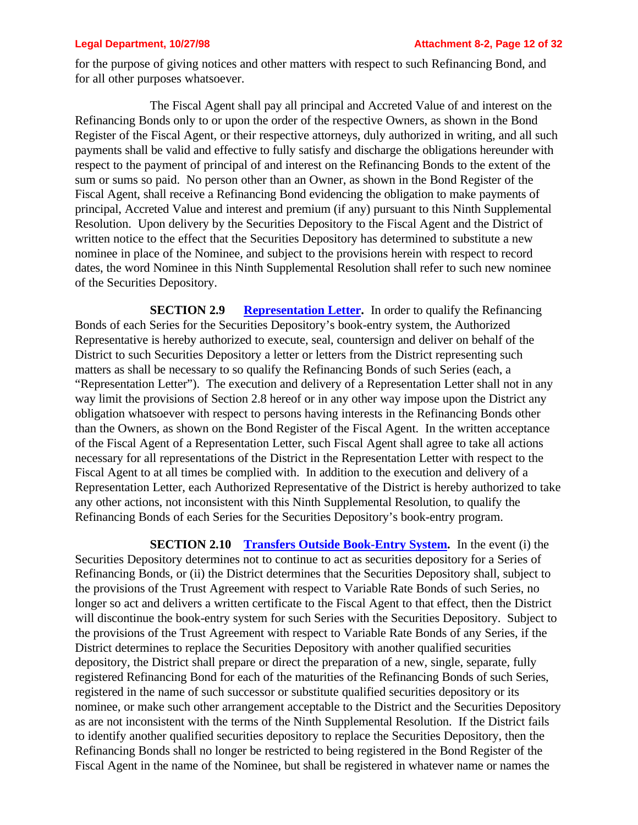for the purpose of giving notices and other matters with respect to such Refinancing Bond, and for all other purposes whatsoever.

The Fiscal Agent shall pay all principal and Accreted Value of and interest on the Refinancing Bonds only to or upon the order of the respective Owners, as shown in the Bond Register of the Fiscal Agent, or their respective attorneys, duly authorized in writing, and all such payments shall be valid and effective to fully satisfy and discharge the obligations hereunder with respect to the payment of principal of and interest on the Refinancing Bonds to the extent of the sum or sums so paid. No person other than an Owner, as shown in the Bond Register of the Fiscal Agent, shall receive a Refinancing Bond evidencing the obligation to make payments of principal, Accreted Value and interest and premium (if any) pursuant to this Ninth Supplemental Resolution. Upon delivery by the Securities Depository to the Fiscal Agent and the District of written notice to the effect that the Securities Depository has determined to substitute a new nominee in place of the Nominee, and subject to the provisions herein with respect to record dates, the word Nominee in this Ninth Supplemental Resolution shall refer to such new nominee of the Securities Depository.

**SECTION 2.9 Representation Letter.** In order to qualify the Refinancing Bonds of each Series for the Securities Depository's book-entry system, the Authorized Representative is hereby authorized to execute, seal, countersign and deliver on behalf of the District to such Securities Depository a letter or letters from the District representing such matters as shall be necessary to so qualify the Refinancing Bonds of such Series (each, a "Representation Letter"). The execution and delivery of a Representation Letter shall not in any way limit the provisions of Section 2.8 hereof or in any other way impose upon the District any obligation whatsoever with respect to persons having interests in the Refinancing Bonds other than the Owners, as shown on the Bond Register of the Fiscal Agent. In the written acceptance of the Fiscal Agent of a Representation Letter, such Fiscal Agent shall agree to take all actions necessary for all representations of the District in the Representation Letter with respect to the Fiscal Agent to at all times be complied with. In addition to the execution and delivery of a Representation Letter, each Authorized Representative of the District is hereby authorized to take any other actions, not inconsistent with this Ninth Supplemental Resolution, to qualify the Refinancing Bonds of each Series for the Securities Depository's book-entry program.

**SECTION 2.10 Transfers Outside Book-Entry System.** In the event (i) the Securities Depository determines not to continue to act as securities depository for a Series of Refinancing Bonds, or (ii) the District determines that the Securities Depository shall, subject to the provisions of the Trust Agreement with respect to Variable Rate Bonds of such Series, no longer so act and delivers a written certificate to the Fiscal Agent to that effect, then the District will discontinue the book-entry system for such Series with the Securities Depository. Subject to the provisions of the Trust Agreement with respect to Variable Rate Bonds of any Series, if the District determines to replace the Securities Depository with another qualified securities depository, the District shall prepare or direct the preparation of a new, single, separate, fully registered Refinancing Bond for each of the maturities of the Refinancing Bonds of such Series, registered in the name of such successor or substitute qualified securities depository or its nominee, or make such other arrangement acceptable to the District and the Securities Depository as are not inconsistent with the terms of the Ninth Supplemental Resolution. If the District fails to identify another qualified securities depository to replace the Securities Depository, then the Refinancing Bonds shall no longer be restricted to being registered in the Bond Register of the Fiscal Agent in the name of the Nominee, but shall be registered in whatever name or names the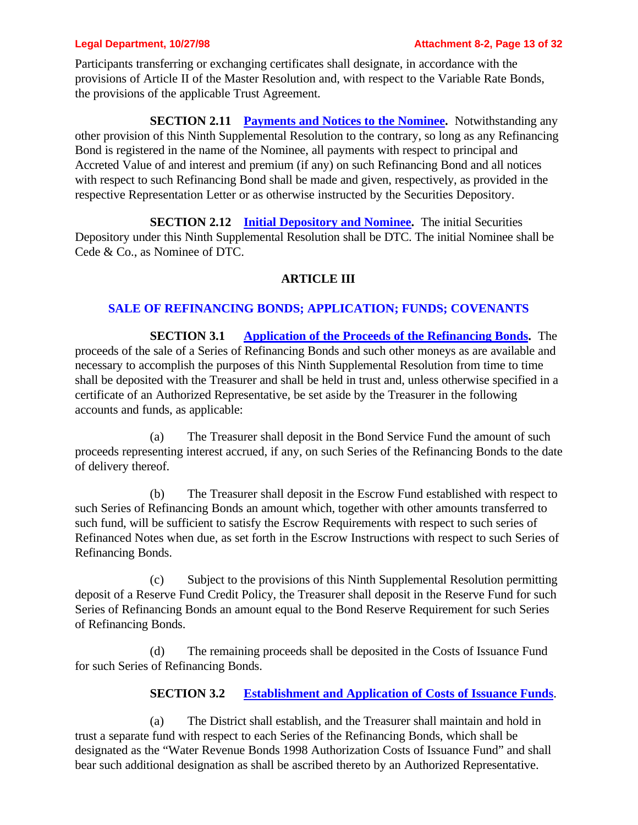Participants transferring or exchanging certificates shall designate, in accordance with the provisions of Article II of the Master Resolution and, with respect to the Variable Rate Bonds, the provisions of the applicable Trust Agreement.

**SECTION 2.11 Payments and Notices to the Nominee.** Notwithstanding any other provision of this Ninth Supplemental Resolution to the contrary, so long as any Refinancing Bond is registered in the name of the Nominee, all payments with respect to principal and Accreted Value of and interest and premium (if any) on such Refinancing Bond and all notices with respect to such Refinancing Bond shall be made and given, respectively, as provided in the respective Representation Letter or as otherwise instructed by the Securities Depository.

**SECTION 2.12 Initial Depository and Nominee.** The initial Securities Depository under this Ninth Supplemental Resolution shall be DTC. The initial Nominee shall be Cede & Co., as Nominee of DTC.

## **ARTICLE III**

## **SALE OF REFINANCING BONDS; APPLICATION; FUNDS; COVENANTS**

**SECTION 3.1 Application of the Proceeds of the Refinancing Bonds.** The proceeds of the sale of a Series of Refinancing Bonds and such other moneys as are available and necessary to accomplish the purposes of this Ninth Supplemental Resolution from time to time shall be deposited with the Treasurer and shall be held in trust and, unless otherwise specified in a certificate of an Authorized Representative, be set aside by the Treasurer in the following accounts and funds, as applicable:

(a) The Treasurer shall deposit in the Bond Service Fund the amount of such proceeds representing interest accrued, if any, on such Series of the Refinancing Bonds to the date of delivery thereof.

(b) The Treasurer shall deposit in the Escrow Fund established with respect to such Series of Refinancing Bonds an amount which, together with other amounts transferred to such fund, will be sufficient to satisfy the Escrow Requirements with respect to such series of Refinanced Notes when due, as set forth in the Escrow Instructions with respect to such Series of Refinancing Bonds.

(c) Subject to the provisions of this Ninth Supplemental Resolution permitting deposit of a Reserve Fund Credit Policy, the Treasurer shall deposit in the Reserve Fund for such Series of Refinancing Bonds an amount equal to the Bond Reserve Requirement for such Series of Refinancing Bonds.

(d) The remaining proceeds shall be deposited in the Costs of Issuance Fund for such Series of Refinancing Bonds.

## **SECTION 3.2 Establishment and Application of Costs of Issuance Funds**.

(a) The District shall establish, and the Treasurer shall maintain and hold in trust a separate fund with respect to each Series of the Refinancing Bonds, which shall be designated as the "Water Revenue Bonds 1998 Authorization Costs of Issuance Fund" and shall bear such additional designation as shall be ascribed thereto by an Authorized Representative.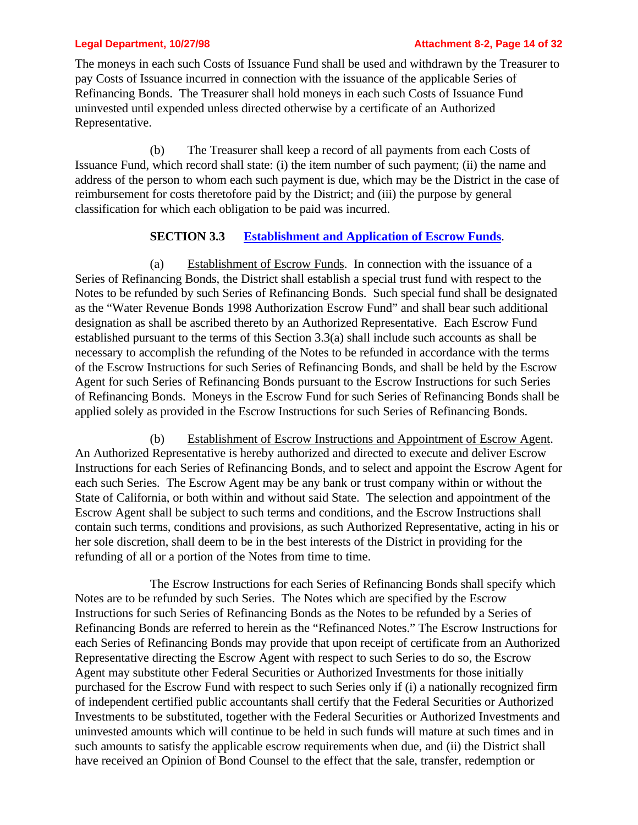### **Legal Department, 10/27/98 Attachment 8-2, Page 14 of 32**

The moneys in each such Costs of Issuance Fund shall be used and withdrawn by the Treasurer to pay Costs of Issuance incurred in connection with the issuance of the applicable Series of Refinancing Bonds. The Treasurer shall hold moneys in each such Costs of Issuance Fund uninvested until expended unless directed otherwise by a certificate of an Authorized Representative.

(b) The Treasurer shall keep a record of all payments from each Costs of Issuance Fund, which record shall state: (i) the item number of such payment; (ii) the name and address of the person to whom each such payment is due, which may be the District in the case of reimbursement for costs theretofore paid by the District; and (iii) the purpose by general classification for which each obligation to be paid was incurred.

## **SECTION 3.3 Establishment and Application of Escrow Funds**.

(a) Establishment of Escrow Funds. In connection with the issuance of a Series of Refinancing Bonds, the District shall establish a special trust fund with respect to the Notes to be refunded by such Series of Refinancing Bonds. Such special fund shall be designated as the "Water Revenue Bonds 1998 Authorization Escrow Fund" and shall bear such additional designation as shall be ascribed thereto by an Authorized Representative. Each Escrow Fund established pursuant to the terms of this Section 3.3(a) shall include such accounts as shall be necessary to accomplish the refunding of the Notes to be refunded in accordance with the terms of the Escrow Instructions for such Series of Refinancing Bonds, and shall be held by the Escrow Agent for such Series of Refinancing Bonds pursuant to the Escrow Instructions for such Series of Refinancing Bonds. Moneys in the Escrow Fund for such Series of Refinancing Bonds shall be applied solely as provided in the Escrow Instructions for such Series of Refinancing Bonds.

(b) Establishment of Escrow Instructions and Appointment of Escrow Agent. An Authorized Representative is hereby authorized and directed to execute and deliver Escrow Instructions for each Series of Refinancing Bonds, and to select and appoint the Escrow Agent for each such Series. The Escrow Agent may be any bank or trust company within or without the State of California, or both within and without said State. The selection and appointment of the Escrow Agent shall be subject to such terms and conditions, and the Escrow Instructions shall contain such terms, conditions and provisions, as such Authorized Representative, acting in his or her sole discretion, shall deem to be in the best interests of the District in providing for the refunding of all or a portion of the Notes from time to time.

The Escrow Instructions for each Series of Refinancing Bonds shall specify which Notes are to be refunded by such Series. The Notes which are specified by the Escrow Instructions for such Series of Refinancing Bonds as the Notes to be refunded by a Series of Refinancing Bonds are referred to herein as the "Refinanced Notes." The Escrow Instructions for each Series of Refinancing Bonds may provide that upon receipt of certificate from an Authorized Representative directing the Escrow Agent with respect to such Series to do so, the Escrow Agent may substitute other Federal Securities or Authorized Investments for those initially purchased for the Escrow Fund with respect to such Series only if (i) a nationally recognized firm of independent certified public accountants shall certify that the Federal Securities or Authorized Investments to be substituted, together with the Federal Securities or Authorized Investments and uninvested amounts which will continue to be held in such funds will mature at such times and in such amounts to satisfy the applicable escrow requirements when due, and (ii) the District shall have received an Opinion of Bond Counsel to the effect that the sale, transfer, redemption or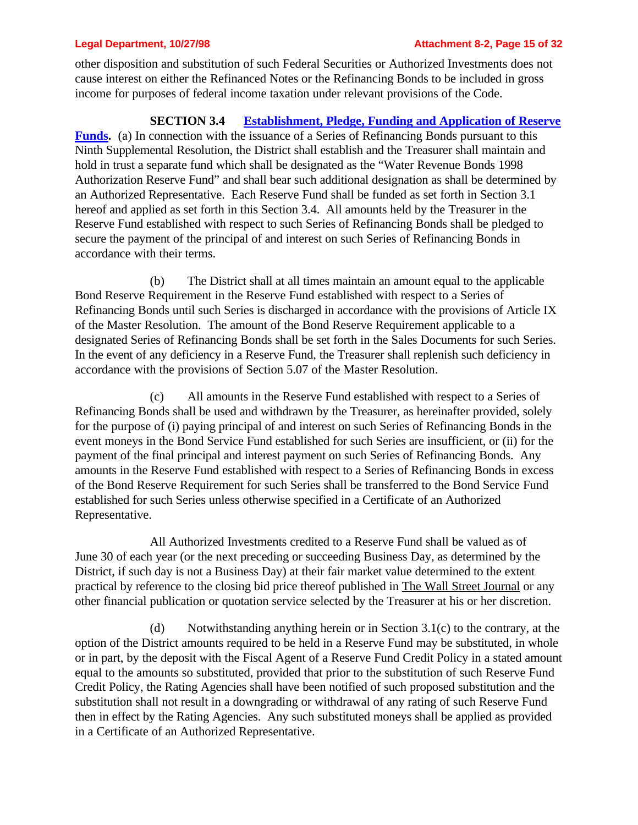other disposition and substitution of such Federal Securities or Authorized Investments does not cause interest on either the Refinanced Notes or the Refinancing Bonds to be included in gross income for purposes of federal income taxation under relevant provisions of the Code.

## **SECTION 3.4 Establishment, Pledge, Funding and Application of Reserve**

**Funds.** (a) In connection with the issuance of a Series of Refinancing Bonds pursuant to this Ninth Supplemental Resolution, the District shall establish and the Treasurer shall maintain and hold in trust a separate fund which shall be designated as the "Water Revenue Bonds 1998 Authorization Reserve Fund" and shall bear such additional designation as shall be determined by an Authorized Representative. Each Reserve Fund shall be funded as set forth in Section 3.1 hereof and applied as set forth in this Section 3.4. All amounts held by the Treasurer in the Reserve Fund established with respect to such Series of Refinancing Bonds shall be pledged to secure the payment of the principal of and interest on such Series of Refinancing Bonds in accordance with their terms.

(b) The District shall at all times maintain an amount equal to the applicable Bond Reserve Requirement in the Reserve Fund established with respect to a Series of Refinancing Bonds until such Series is discharged in accordance with the provisions of Article IX of the Master Resolution. The amount of the Bond Reserve Requirement applicable to a designated Series of Refinancing Bonds shall be set forth in the Sales Documents for such Series. In the event of any deficiency in a Reserve Fund, the Treasurer shall replenish such deficiency in accordance with the provisions of Section 5.07 of the Master Resolution.

(c) All amounts in the Reserve Fund established with respect to a Series of Refinancing Bonds shall be used and withdrawn by the Treasurer, as hereinafter provided, solely for the purpose of (i) paying principal of and interest on such Series of Refinancing Bonds in the event moneys in the Bond Service Fund established for such Series are insufficient, or (ii) for the payment of the final principal and interest payment on such Series of Refinancing Bonds. Any amounts in the Reserve Fund established with respect to a Series of Refinancing Bonds in excess of the Bond Reserve Requirement for such Series shall be transferred to the Bond Service Fund established for such Series unless otherwise specified in a Certificate of an Authorized Representative.

All Authorized Investments credited to a Reserve Fund shall be valued as of June 30 of each year (or the next preceding or succeeding Business Day, as determined by the District, if such day is not a Business Day) at their fair market value determined to the extent practical by reference to the closing bid price thereof published in The Wall Street Journal or any other financial publication or quotation service selected by the Treasurer at his or her discretion.

(d) Notwithstanding anything herein or in Section 3.1(c) to the contrary, at the option of the District amounts required to be held in a Reserve Fund may be substituted, in whole or in part, by the deposit with the Fiscal Agent of a Reserve Fund Credit Policy in a stated amount equal to the amounts so substituted, provided that prior to the substitution of such Reserve Fund Credit Policy, the Rating Agencies shall have been notified of such proposed substitution and the substitution shall not result in a downgrading or withdrawal of any rating of such Reserve Fund then in effect by the Rating Agencies. Any such substituted moneys shall be applied as provided in a Certificate of an Authorized Representative.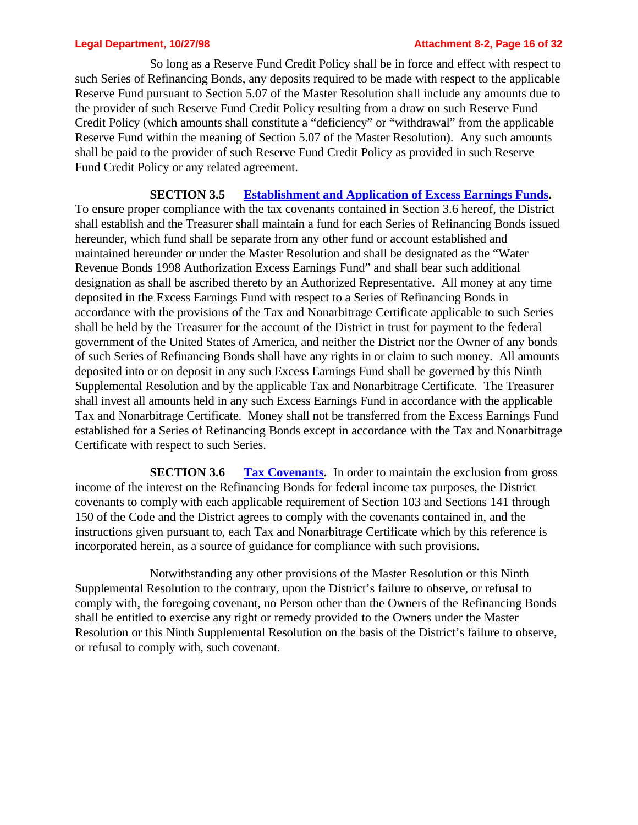So long as a Reserve Fund Credit Policy shall be in force and effect with respect to such Series of Refinancing Bonds, any deposits required to be made with respect to the applicable Reserve Fund pursuant to Section 5.07 of the Master Resolution shall include any amounts due to the provider of such Reserve Fund Credit Policy resulting from a draw on such Reserve Fund Credit Policy (which amounts shall constitute a "deficiency" or "withdrawal" from the applicable Reserve Fund within the meaning of Section 5.07 of the Master Resolution). Any such amounts shall be paid to the provider of such Reserve Fund Credit Policy as provided in such Reserve Fund Credit Policy or any related agreement.

**SECTION 3.5 Establishment and Application of Excess Earnings Funds.** To ensure proper compliance with the tax covenants contained in Section 3.6 hereof, the District shall establish and the Treasurer shall maintain a fund for each Series of Refinancing Bonds issued hereunder, which fund shall be separate from any other fund or account established and maintained hereunder or under the Master Resolution and shall be designated as the "Water Revenue Bonds 1998 Authorization Excess Earnings Fund" and shall bear such additional designation as shall be ascribed thereto by an Authorized Representative. All money at any time deposited in the Excess Earnings Fund with respect to a Series of Refinancing Bonds in accordance with the provisions of the Tax and Nonarbitrage Certificate applicable to such Series shall be held by the Treasurer for the account of the District in trust for payment to the federal government of the United States of America, and neither the District nor the Owner of any bonds of such Series of Refinancing Bonds shall have any rights in or claim to such money. All amounts deposited into or on deposit in any such Excess Earnings Fund shall be governed by this Ninth Supplemental Resolution and by the applicable Tax and Nonarbitrage Certificate. The Treasurer shall invest all amounts held in any such Excess Earnings Fund in accordance with the applicable Tax and Nonarbitrage Certificate. Money shall not be transferred from the Excess Earnings Fund established for a Series of Refinancing Bonds except in accordance with the Tax and Nonarbitrage Certificate with respect to such Series.

**SECTION 3.6** Tax Covenants. In order to maintain the exclusion from gross income of the interest on the Refinancing Bonds for federal income tax purposes, the District covenants to comply with each applicable requirement of Section 103 and Sections 141 through 150 of the Code and the District agrees to comply with the covenants contained in, and the instructions given pursuant to, each Tax and Nonarbitrage Certificate which by this reference is incorporated herein, as a source of guidance for compliance with such provisions.

Notwithstanding any other provisions of the Master Resolution or this Ninth Supplemental Resolution to the contrary, upon the District's failure to observe, or refusal to comply with, the foregoing covenant, no Person other than the Owners of the Refinancing Bonds shall be entitled to exercise any right or remedy provided to the Owners under the Master Resolution or this Ninth Supplemental Resolution on the basis of the District's failure to observe, or refusal to comply with, such covenant.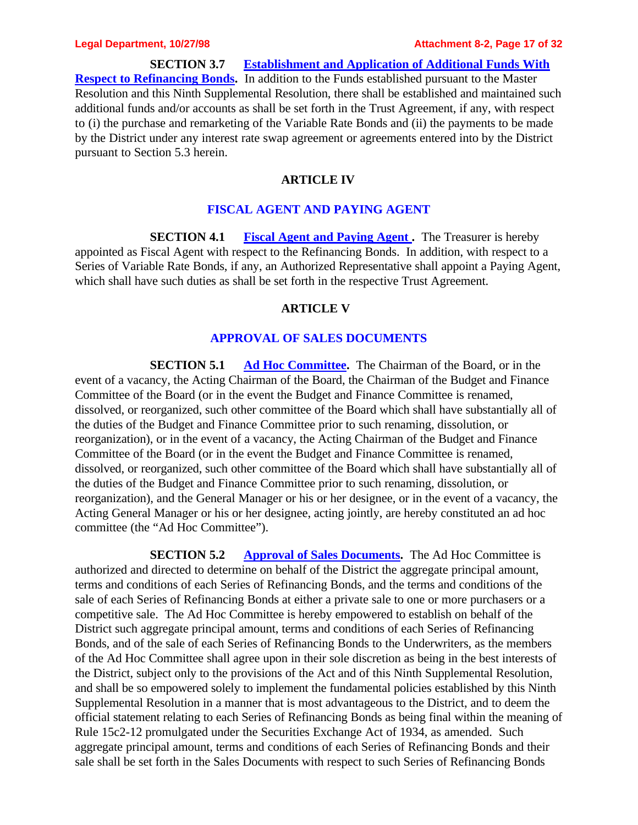### **Legal Department, 10/27/98 Attachment 8-2, Page 17 of 32**

**SECTION 3.7 Establishment and Application of Additional Funds With Respect to Refinancing Bonds.** In addition to the Funds established pursuant to the Master Resolution and this Ninth Supplemental Resolution, there shall be established and maintained such additional funds and/or accounts as shall be set forth in the Trust Agreement, if any, with respect to (i) the purchase and remarketing of the Variable Rate Bonds and (ii) the payments to be made by the District under any interest rate swap agreement or agreements entered into by the District pursuant to Section 5.3 herein.

### **ARTICLE IV**

### **FISCAL AGENT AND PAYING AGENT**

**SECTION 4.1 Fiscal Agent and Paying Agent .** The Treasurer is hereby appointed as Fiscal Agent with respect to the Refinancing Bonds. In addition, with respect to a Series of Variable Rate Bonds, if any, an Authorized Representative shall appoint a Paying Agent, which shall have such duties as shall be set forth in the respective Trust Agreement.

### **ARTICLE V**

### **APPROVAL OF SALES DOCUMENTS**

**SECTION 5.1 Ad Hoc Committee.** The Chairman of the Board, or in the event of a vacancy, the Acting Chairman of the Board, the Chairman of the Budget and Finance Committee of the Board (or in the event the Budget and Finance Committee is renamed, dissolved, or reorganized, such other committee of the Board which shall have substantially all of the duties of the Budget and Finance Committee prior to such renaming, dissolution, or reorganization), or in the event of a vacancy, the Acting Chairman of the Budget and Finance Committee of the Board (or in the event the Budget and Finance Committee is renamed, dissolved, or reorganized, such other committee of the Board which shall have substantially all of the duties of the Budget and Finance Committee prior to such renaming, dissolution, or reorganization), and the General Manager or his or her designee, or in the event of a vacancy, the Acting General Manager or his or her designee, acting jointly, are hereby constituted an ad hoc committee (the "Ad Hoc Committee").

**SECTION 5.2 Approval of Sales Documents.** The Ad Hoc Committee is authorized and directed to determine on behalf of the District the aggregate principal amount, terms and conditions of each Series of Refinancing Bonds, and the terms and conditions of the sale of each Series of Refinancing Bonds at either a private sale to one or more purchasers or a competitive sale. The Ad Hoc Committee is hereby empowered to establish on behalf of the District such aggregate principal amount, terms and conditions of each Series of Refinancing Bonds, and of the sale of each Series of Refinancing Bonds to the Underwriters, as the members of the Ad Hoc Committee shall agree upon in their sole discretion as being in the best interests of the District, subject only to the provisions of the Act and of this Ninth Supplemental Resolution, and shall be so empowered solely to implement the fundamental policies established by this Ninth Supplemental Resolution in a manner that is most advantageous to the District, and to deem the official statement relating to each Series of Refinancing Bonds as being final within the meaning of Rule 15c2-12 promulgated under the Securities Exchange Act of 1934, as amended. Such aggregate principal amount, terms and conditions of each Series of Refinancing Bonds and their sale shall be set forth in the Sales Documents with respect to such Series of Refinancing Bonds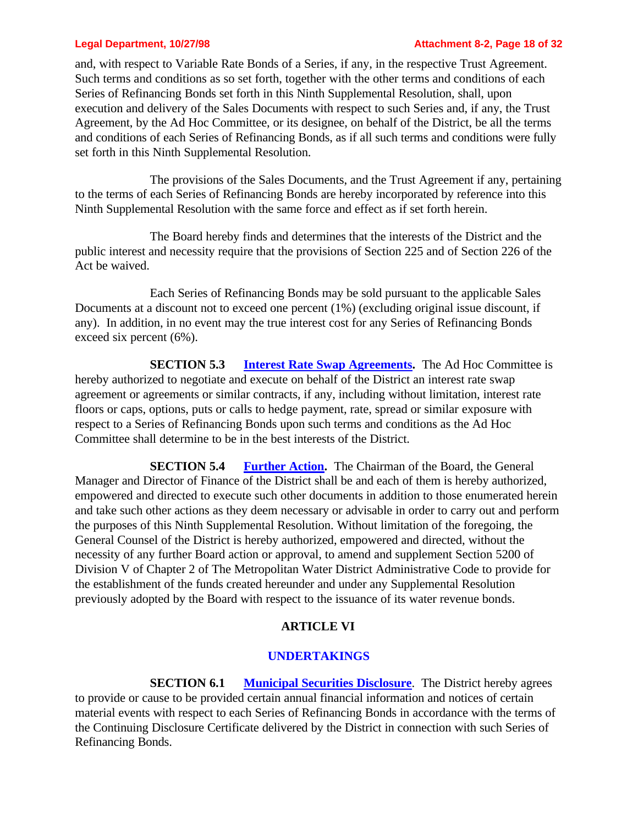and, with respect to Variable Rate Bonds of a Series, if any, in the respective Trust Agreement. Such terms and conditions as so set forth, together with the other terms and conditions of each Series of Refinancing Bonds set forth in this Ninth Supplemental Resolution, shall, upon execution and delivery of the Sales Documents with respect to such Series and, if any, the Trust Agreement, by the Ad Hoc Committee, or its designee, on behalf of the District, be all the terms and conditions of each Series of Refinancing Bonds, as if all such terms and conditions were fully set forth in this Ninth Supplemental Resolution.

The provisions of the Sales Documents, and the Trust Agreement if any, pertaining to the terms of each Series of Refinancing Bonds are hereby incorporated by reference into this Ninth Supplemental Resolution with the same force and effect as if set forth herein.

The Board hereby finds and determines that the interests of the District and the public interest and necessity require that the provisions of Section 225 and of Section 226 of the Act be waived.

Each Series of Refinancing Bonds may be sold pursuant to the applicable Sales Documents at a discount not to exceed one percent (1%) (excluding original issue discount, if any). In addition, in no event may the true interest cost for any Series of Refinancing Bonds exceed six percent (6%).

**SECTION 5.3 Interest Rate Swap Agreements.** The Ad Hoc Committee is hereby authorized to negotiate and execute on behalf of the District an interest rate swap agreement or agreements or similar contracts, if any, including without limitation, interest rate floors or caps, options, puts or calls to hedge payment, rate, spread or similar exposure with respect to a Series of Refinancing Bonds upon such terms and conditions as the Ad Hoc Committee shall determine to be in the best interests of the District.

**SECTION 5.4 Further Action.** The Chairman of the Board, the General Manager and Director of Finance of the District shall be and each of them is hereby authorized, empowered and directed to execute such other documents in addition to those enumerated herein and take such other actions as they deem necessary or advisable in order to carry out and perform the purposes of this Ninth Supplemental Resolution. Without limitation of the foregoing, the General Counsel of the District is hereby authorized, empowered and directed, without the necessity of any further Board action or approval, to amend and supplement Section 5200 of Division V of Chapter 2 of The Metropolitan Water District Administrative Code to provide for the establishment of the funds created hereunder and under any Supplemental Resolution previously adopted by the Board with respect to the issuance of its water revenue bonds.

## **ARTICLE VI**

## **UNDERTAKINGS**

**SECTION 6.1 Municipal Securities Disclosure**. The District hereby agrees to provide or cause to be provided certain annual financial information and notices of certain material events with respect to each Series of Refinancing Bonds in accordance with the terms of the Continuing Disclosure Certificate delivered by the District in connection with such Series of Refinancing Bonds.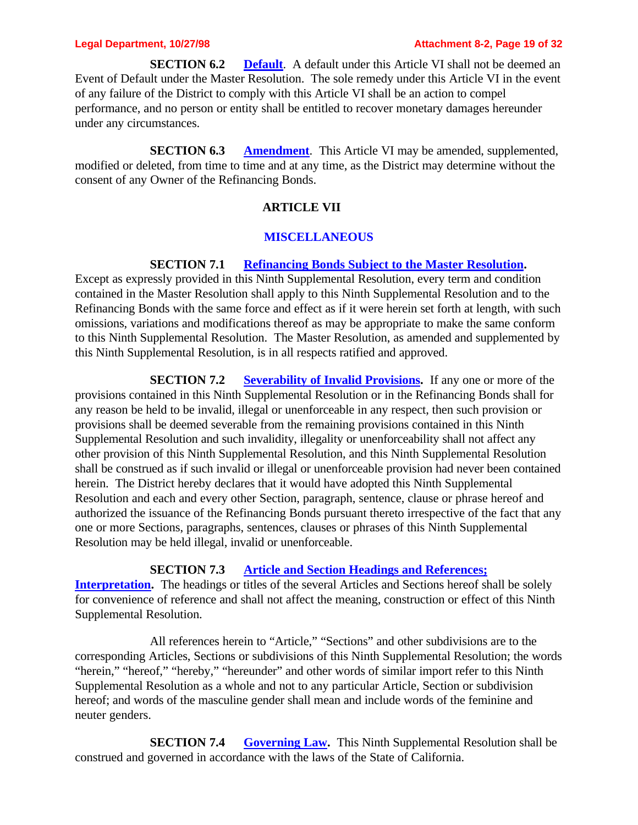**SECTION 6.2 Default**. A default under this Article VI shall not be deemed an Event of Default under the Master Resolution. The sole remedy under this Article VI in the event of any failure of the District to comply with this Article VI shall be an action to compel performance, and no person or entity shall be entitled to recover monetary damages hereunder under any circumstances.

**SECTION 6.3 Amendment**. This Article VI may be amended, supplemented, modified or deleted, from time to time and at any time, as the District may determine without the consent of any Owner of the Refinancing Bonds.

## **ARTICLE VII**

### **MISCELLANEOUS**

### **SECTION 7.1 Refinancing Bonds Subject to the Master Resolution.**

Except as expressly provided in this Ninth Supplemental Resolution, every term and condition contained in the Master Resolution shall apply to this Ninth Supplemental Resolution and to the Refinancing Bonds with the same force and effect as if it were herein set forth at length, with such omissions, variations and modifications thereof as may be appropriate to make the same conform to this Ninth Supplemental Resolution. The Master Resolution, as amended and supplemented by this Ninth Supplemental Resolution, is in all respects ratified and approved.

**SECTION 7.2 Severability of Invalid Provisions.** If any one or more of the provisions contained in this Ninth Supplemental Resolution or in the Refinancing Bonds shall for any reason be held to be invalid, illegal or unenforceable in any respect, then such provision or provisions shall be deemed severable from the remaining provisions contained in this Ninth Supplemental Resolution and such invalidity, illegality or unenforceability shall not affect any other provision of this Ninth Supplemental Resolution, and this Ninth Supplemental Resolution shall be construed as if such invalid or illegal or unenforceable provision had never been contained herein. The District hereby declares that it would have adopted this Ninth Supplemental Resolution and each and every other Section, paragraph, sentence, clause or phrase hereof and authorized the issuance of the Refinancing Bonds pursuant thereto irrespective of the fact that any one or more Sections, paragraphs, sentences, clauses or phrases of this Ninth Supplemental Resolution may be held illegal, invalid or unenforceable.

### **SECTION 7.3 Article and Section Headings and References;**

Interpretation. The headings or titles of the several Articles and Sections hereof shall be solely for convenience of reference and shall not affect the meaning, construction or effect of this Ninth Supplemental Resolution.

All references herein to "Article," "Sections" and other subdivisions are to the corresponding Articles, Sections or subdivisions of this Ninth Supplemental Resolution; the words "herein," "hereof," "hereby," "hereunder" and other words of similar import refer to this Ninth Supplemental Resolution as a whole and not to any particular Article, Section or subdivision hereof; and words of the masculine gender shall mean and include words of the feminine and neuter genders.

**SECTION 7.4 Governing Law.** This Ninth Supplemental Resolution shall be construed and governed in accordance with the laws of the State of California.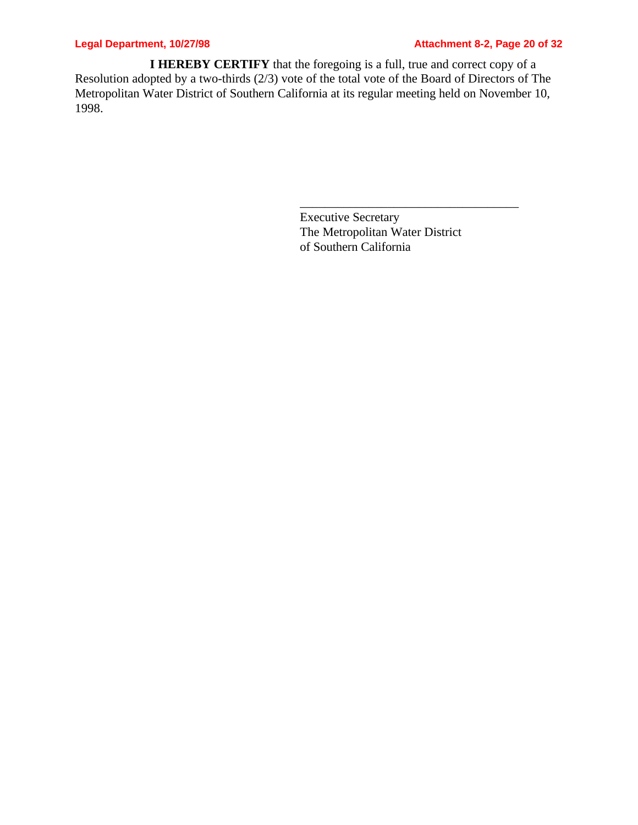## **Legal Department, 10/27/98 Attachment 8-2, Page 20 of 32**

**I HEREBY CERTIFY** that the foregoing is a full, true and correct copy of a Resolution adopted by a two-thirds (2/3) vote of the total vote of the Board of Directors of The Metropolitan Water District of Southern California at its regular meeting held on November 10, 1998.

> Executive Secretary The Metropolitan Water District of Southern California

\_\_\_\_\_\_\_\_\_\_\_\_\_\_\_\_\_\_\_\_\_\_\_\_\_\_\_\_\_\_\_\_\_\_\_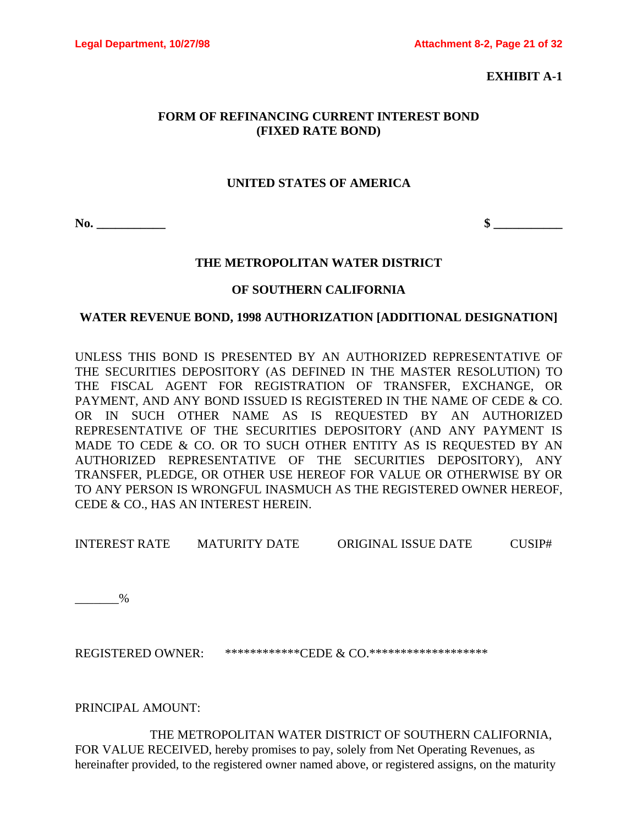**EXHIBIT A-1**

## **FORM OF REFINANCING CURRENT INTEREST BOND (FIXED RATE BOND)**

## **UNITED STATES OF AMERICA**

**No. \_\_\_\_\_\_\_\_\_\_\_ \$ \_\_\_\_\_\_\_\_\_\_\_**

## **THE METROPOLITAN WATER DISTRICT**

## **OF SOUTHERN CALIFORNIA**

## **WATER REVENUE BOND, 1998 AUTHORIZATION [ADDITIONAL DESIGNATION]**

UNLESS THIS BOND IS PRESENTED BY AN AUTHORIZED REPRESENTATIVE OF THE SECURITIES DEPOSITORY (AS DEFINED IN THE MASTER RESOLUTION) TO THE FISCAL AGENT FOR REGISTRATION OF TRANSFER, EXCHANGE, OR PAYMENT, AND ANY BOND ISSUED IS REGISTERED IN THE NAME OF CEDE & CO. OR IN SUCH OTHER NAME AS IS REQUESTED BY AN AUTHORIZED REPRESENTATIVE OF THE SECURITIES DEPOSITORY (AND ANY PAYMENT IS MADE TO CEDE & CO. OR TO SUCH OTHER ENTITY AS IS REQUESTED BY AN AUTHORIZED REPRESENTATIVE OF THE SECURITIES DEPOSITORY), ANY TRANSFER, PLEDGE, OR OTHER USE HEREOF FOR VALUE OR OTHERWISE BY OR TO ANY PERSON IS WRONGFUL INASMUCH AS THE REGISTERED OWNER HEREOF, CEDE & CO., HAS AN INTEREST HEREIN.

INTEREST RATE MATURITY DATE ORIGINAL ISSUE DATE CUSIP#

 $\frac{9}{6}$ 

REGISTERED OWNER: \*\*\*\*\*\*\*\*\*\*\*\*\*CEDE & CO.\*\*\*\*\*\*\*\*\*\*\*\*\*\*\*\*\*\*\*\*

PRINCIPAL AMOUNT:

THE METROPOLITAN WATER DISTRICT OF SOUTHERN CALIFORNIA, FOR VALUE RECEIVED, hereby promises to pay, solely from Net Operating Revenues, as hereinafter provided, to the registered owner named above, or registered assigns, on the maturity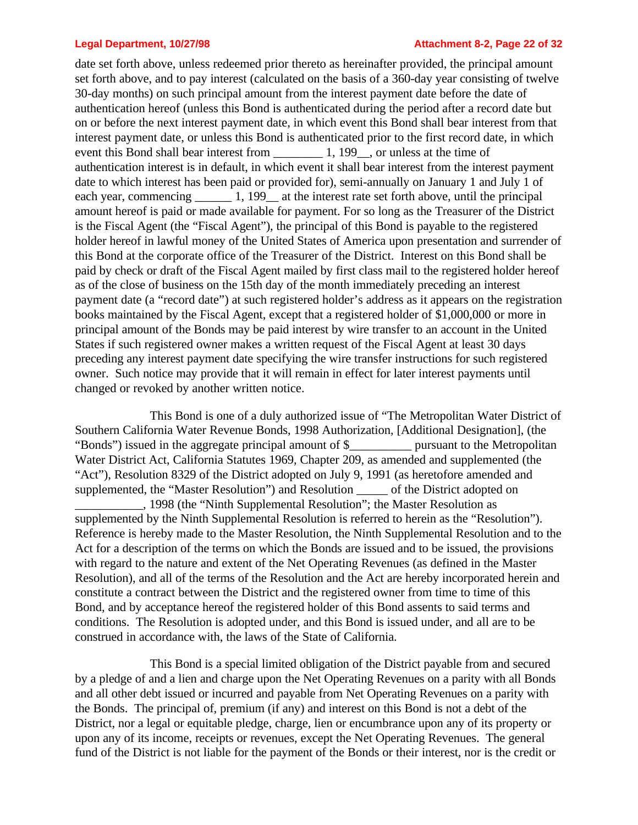### **Legal Department, 10/27/98 Attachment 8-2, Page 22 of 32**

date set forth above, unless redeemed prior thereto as hereinafter provided, the principal amount set forth above, and to pay interest (calculated on the basis of a 360-day year consisting of twelve 30-day months) on such principal amount from the interest payment date before the date of authentication hereof (unless this Bond is authenticated during the period after a record date but on or before the next interest payment date, in which event this Bond shall bear interest from that interest payment date, or unless this Bond is authenticated prior to the first record date, in which event this Bond shall bear interest from 1, 199, or unless at the time of authentication interest is in default, in which event it shall bear interest from the interest payment date to which interest has been paid or provided for), semi-annually on January 1 and July 1 of each year, commencing 1, 199 at the interest rate set forth above, until the principal amount hereof is paid or made available for payment. For so long as the Treasurer of the District is the Fiscal Agent (the "Fiscal Agent"), the principal of this Bond is payable to the registered holder hereof in lawful money of the United States of America upon presentation and surrender of this Bond at the corporate office of the Treasurer of the District. Interest on this Bond shall be paid by check or draft of the Fiscal Agent mailed by first class mail to the registered holder hereof as of the close of business on the 15th day of the month immediately preceding an interest payment date (a "record date") at such registered holder's address as it appears on the registration books maintained by the Fiscal Agent, except that a registered holder of \$1,000,000 or more in principal amount of the Bonds may be paid interest by wire transfer to an account in the United States if such registered owner makes a written request of the Fiscal Agent at least 30 days preceding any interest payment date specifying the wire transfer instructions for such registered owner. Such notice may provide that it will remain in effect for later interest payments until changed or revoked by another written notice.

This Bond is one of a duly authorized issue of "The Metropolitan Water District of Southern California Water Revenue Bonds, 1998 Authorization, [Additional Designation], (the "Bonds") issued in the aggregate principal amount of \$\_\_\_\_\_\_\_\_\_\_ pursuant to the Metropolitan Water District Act, California Statutes 1969, Chapter 209, as amended and supplemented (the "Act"), Resolution 8329 of the District adopted on July 9, 1991 (as heretofore amended and supplemented, the "Master Resolution") and Resolution \_\_\_\_\_\_ of the District adopted on \_\_\_\_\_\_\_\_\_\_\_, 1998 (the "Ninth Supplemental Resolution"; the Master Resolution as supplemented by the Ninth Supplemental Resolution is referred to herein as the "Resolution"). Reference is hereby made to the Master Resolution, the Ninth Supplemental Resolution and to the Act for a description of the terms on which the Bonds are issued and to be issued, the provisions with regard to the nature and extent of the Net Operating Revenues (as defined in the Master Resolution), and all of the terms of the Resolution and the Act are hereby incorporated herein and constitute a contract between the District and the registered owner from time to time of this Bond, and by acceptance hereof the registered holder of this Bond assents to said terms and conditions. The Resolution is adopted under, and this Bond is issued under, and all are to be construed in accordance with, the laws of the State of California.

This Bond is a special limited obligation of the District payable from and secured by a pledge of and a lien and charge upon the Net Operating Revenues on a parity with all Bonds and all other debt issued or incurred and payable from Net Operating Revenues on a parity with the Bonds. The principal of, premium (if any) and interest on this Bond is not a debt of the District, nor a legal or equitable pledge, charge, lien or encumbrance upon any of its property or upon any of its income, receipts or revenues, except the Net Operating Revenues. The general fund of the District is not liable for the payment of the Bonds or their interest, nor is the credit or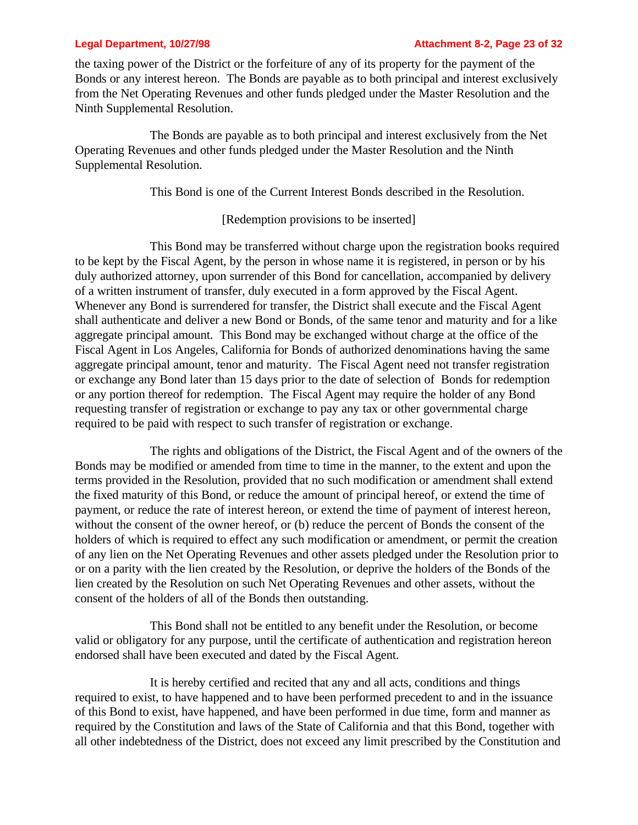the taxing power of the District or the forfeiture of any of its property for the payment of the Bonds or any interest hereon. The Bonds are payable as to both principal and interest exclusively from the Net Operating Revenues and other funds pledged under the Master Resolution and the Ninth Supplemental Resolution.

The Bonds are payable as to both principal and interest exclusively from the Net Operating Revenues and other funds pledged under the Master Resolution and the Ninth Supplemental Resolution.

This Bond is one of the Current Interest Bonds described in the Resolution.

## [Redemption provisions to be inserted]

This Bond may be transferred without charge upon the registration books required to be kept by the Fiscal Agent, by the person in whose name it is registered, in person or by his duly authorized attorney, upon surrender of this Bond for cancellation, accompanied by delivery of a written instrument of transfer, duly executed in a form approved by the Fiscal Agent. Whenever any Bond is surrendered for transfer, the District shall execute and the Fiscal Agent shall authenticate and deliver a new Bond or Bonds, of the same tenor and maturity and for a like aggregate principal amount. This Bond may be exchanged without charge at the office of the Fiscal Agent in Los Angeles, California for Bonds of authorized denominations having the same aggregate principal amount, tenor and maturity. The Fiscal Agent need not transfer registration or exchange any Bond later than 15 days prior to the date of selection of Bonds for redemption or any portion thereof for redemption. The Fiscal Agent may require the holder of any Bond requesting transfer of registration or exchange to pay any tax or other governmental charge required to be paid with respect to such transfer of registration or exchange.

The rights and obligations of the District, the Fiscal Agent and of the owners of the Bonds may be modified or amended from time to time in the manner, to the extent and upon the terms provided in the Resolution, provided that no such modification or amendment shall extend the fixed maturity of this Bond, or reduce the amount of principal hereof, or extend the time of payment, or reduce the rate of interest hereon, or extend the time of payment of interest hereon, without the consent of the owner hereof, or (b) reduce the percent of Bonds the consent of the holders of which is required to effect any such modification or amendment, or permit the creation of any lien on the Net Operating Revenues and other assets pledged under the Resolution prior to or on a parity with the lien created by the Resolution, or deprive the holders of the Bonds of the lien created by the Resolution on such Net Operating Revenues and other assets, without the consent of the holders of all of the Bonds then outstanding.

This Bond shall not be entitled to any benefit under the Resolution, or become valid or obligatory for any purpose, until the certificate of authentication and registration hereon endorsed shall have been executed and dated by the Fiscal Agent.

It is hereby certified and recited that any and all acts, conditions and things required to exist, to have happened and to have been performed precedent to and in the issuance of this Bond to exist, have happened, and have been performed in due time, form and manner as required by the Constitution and laws of the State of California and that this Bond, together with all other indebtedness of the District, does not exceed any limit prescribed by the Constitution and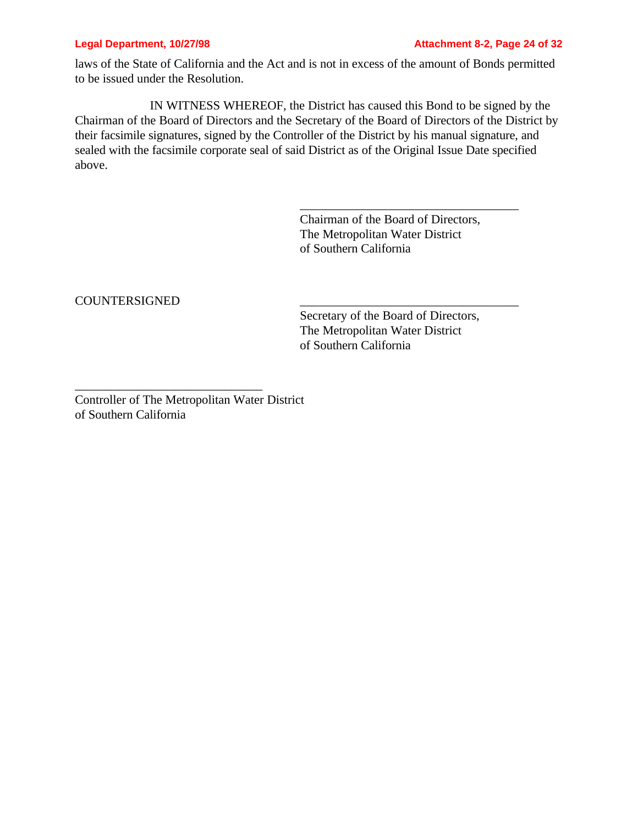laws of the State of California and the Act and is not in excess of the amount of Bonds permitted to be issued under the Resolution.

IN WITNESS WHEREOF, the District has caused this Bond to be signed by the Chairman of the Board of Directors and the Secretary of the Board of Directors of the District by their facsimile signatures, signed by the Controller of the District by his manual signature, and sealed with the facsimile corporate seal of said District as of the Original Issue Date specified above.

> Chairman of the Board of Directors, The Metropolitan Water District of Southern California

\_\_\_\_\_\_\_\_\_\_\_\_\_\_\_\_\_\_\_\_\_\_\_\_\_\_\_\_\_\_\_\_\_\_\_

COUNTERSIGNED \_\_\_\_\_\_\_\_\_\_\_\_\_\_\_\_\_\_\_\_\_\_\_\_\_\_\_\_\_\_\_\_\_\_\_

Secretary of the Board of Directors, The Metropolitan Water District of Southern California

Controller of The Metropolitan Water District of Southern California

\_\_\_\_\_\_\_\_\_\_\_\_\_\_\_\_\_\_\_\_\_\_\_\_\_\_\_\_\_\_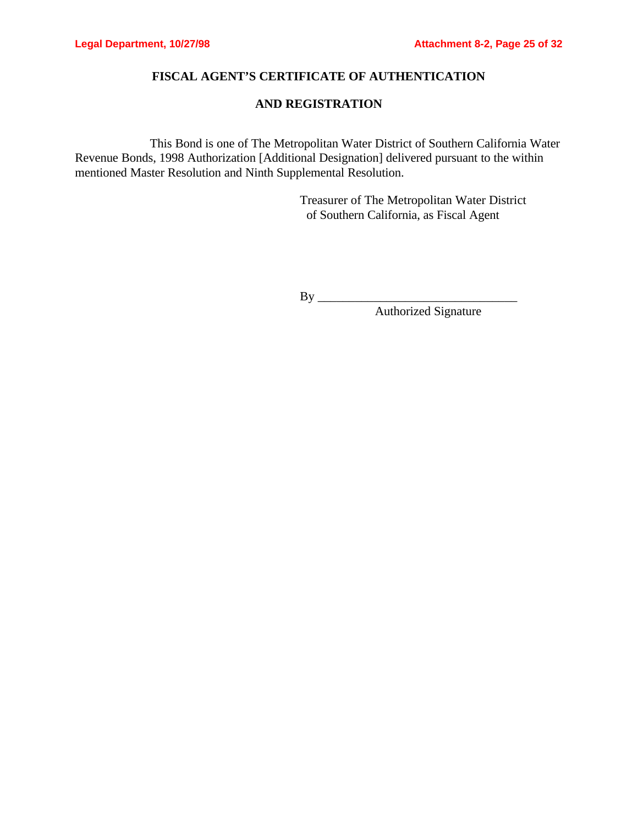## **FISCAL AGENT'S CERTIFICATE OF AUTHENTICATION**

## **AND REGISTRATION**

This Bond is one of The Metropolitan Water District of Southern California Water Revenue Bonds, 1998 Authorization [Additional Designation] delivered pursuant to the within mentioned Master Resolution and Ninth Supplemental Resolution.

> Treasurer of The Metropolitan Water District of Southern California, as Fiscal Agent

By \_\_\_\_\_\_\_\_\_\_\_\_\_\_\_\_\_\_\_\_\_\_\_\_\_\_\_\_\_\_\_\_

Authorized Signature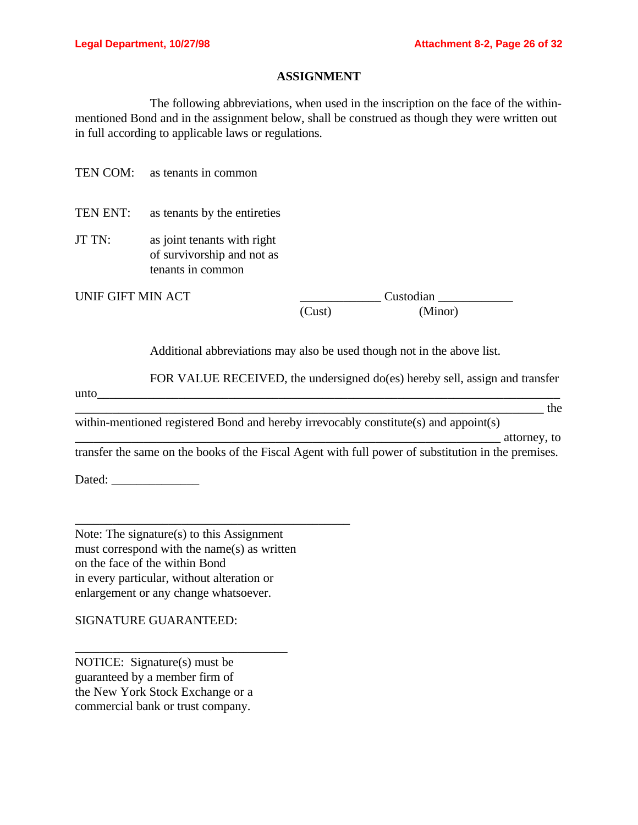\_\_\_\_\_\_\_\_\_\_\_\_\_\_\_\_\_\_\_\_\_\_\_\_\_\_\_\_\_\_\_\_\_\_\_\_\_\_\_\_\_\_\_\_\_\_\_\_\_\_\_\_\_\_\_\_\_\_\_\_\_\_\_\_\_\_\_\_ attorney, to

### **ASSIGNMENT**

The following abbreviations, when used in the inscription on the face of the withinmentioned Bond and in the assignment below, shall be construed as though they were written out in full according to applicable laws or regulations.

TEN COM: as tenants in common

TEN ENT: as tenants by the entireties

JT TN: as joint tenants with right of survivorship and not as tenants in common

UNIF GIFT MIN ACT \_\_\_\_\_\_\_\_\_\_\_\_\_ Custodian \_\_\_\_\_\_\_\_\_\_\_\_ (Cust) (Minor)

Additional abbreviations may also be used though not in the above list.

FOR VALUE RECEIVED, the undersigned do(es) hereby sell, assign and transfer

 $unto$   $\Box$ \_\_\_\_\_\_\_\_\_\_\_\_\_\_\_\_\_\_\_\_\_\_\_\_\_\_\_\_\_\_\_\_\_\_\_\_\_\_\_\_\_\_\_\_\_\_\_\_\_\_\_\_\_\_\_\_\_\_\_\_\_\_\_\_\_\_\_\_\_\_\_\_\_\_\_ the

within-mentioned registered Bond and hereby irrevocably constitute(s) and appoint(s)

transfer the same on the books of the Fiscal Agent with full power of substitution in the premises.

Dated: \_\_\_\_\_\_\_\_\_\_\_\_\_\_

Note: The signature(s) to this Assignment must correspond with the name(s) as written on the face of the within Bond in every particular, without alteration or enlargement or any change whatsoever.

\_\_\_\_\_\_\_\_\_\_\_\_\_\_\_\_\_\_\_\_\_\_\_\_\_\_\_\_\_\_\_\_\_\_\_\_\_\_\_\_\_\_\_\_

SIGNATURE GUARANTEED:

NOTICE: Signature(s) must be guaranteed by a member firm of the New York Stock Exchange or a commercial bank or trust company.

\_\_\_\_\_\_\_\_\_\_\_\_\_\_\_\_\_\_\_\_\_\_\_\_\_\_\_\_\_\_\_\_\_\_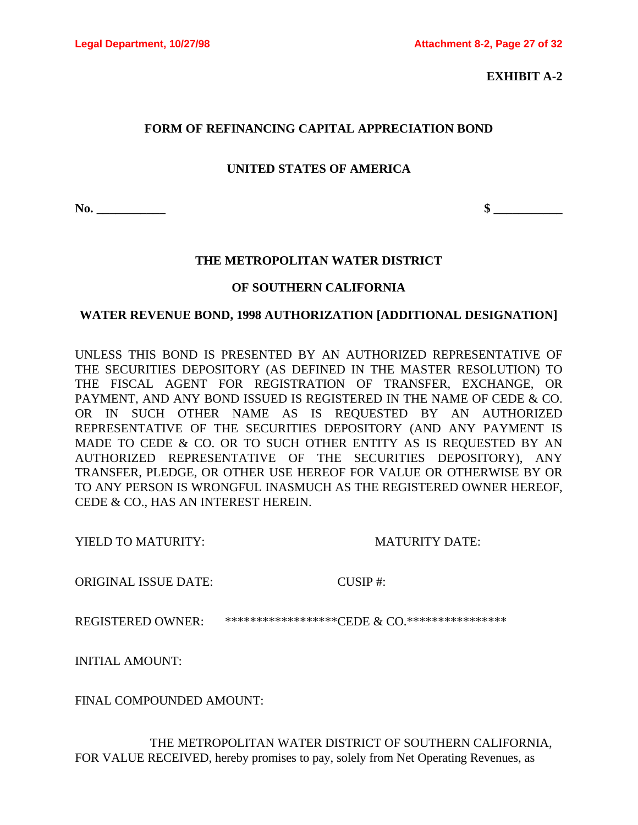**EXHIBIT A-2**

## **FORM OF REFINANCING CAPITAL APPRECIATION BOND**

## **UNITED STATES OF AMERICA**

**No. \_\_\_\_\_\_\_\_\_\_\_ \$ \_\_\_\_\_\_\_\_\_\_\_**

## **THE METROPOLITAN WATER DISTRICT**

## **OF SOUTHERN CALIFORNIA**

## **WATER REVENUE BOND, 1998 AUTHORIZATION [ADDITIONAL DESIGNATION]**

UNLESS THIS BOND IS PRESENTED BY AN AUTHORIZED REPRESENTATIVE OF THE SECURITIES DEPOSITORY (AS DEFINED IN THE MASTER RESOLUTION) TO THE FISCAL AGENT FOR REGISTRATION OF TRANSFER, EXCHANGE, OR PAYMENT, AND ANY BOND ISSUED IS REGISTERED IN THE NAME OF CEDE & CO. OR IN SUCH OTHER NAME AS IS REQUESTED BY AN AUTHORIZED REPRESENTATIVE OF THE SECURITIES DEPOSITORY (AND ANY PAYMENT IS MADE TO CEDE & CO. OR TO SUCH OTHER ENTITY AS IS REQUESTED BY AN AUTHORIZED REPRESENTATIVE OF THE SECURITIES DEPOSITORY), ANY TRANSFER, PLEDGE, OR OTHER USE HEREOF FOR VALUE OR OTHERWISE BY OR TO ANY PERSON IS WRONGFUL INASMUCH AS THE REGISTERED OWNER HEREOF, CEDE & CO., HAS AN INTEREST HEREIN.

YIELD TO MATURITY: MATURITY DATE:

ORIGINAL ISSUE DATE: CUSIP #:

REGISTERED OWNER: \*\*\*\*\*\*\*\*\*\*\*\*\*\*\*\*\*\*\*CEDE & CO.\*\*\*\*\*\*\*\*\*\*\*\*\*\*\*\*\*

INITIAL AMOUNT:

FINAL COMPOUNDED AMOUNT:

THE METROPOLITAN WATER DISTRICT OF SOUTHERN CALIFORNIA, FOR VALUE RECEIVED, hereby promises to pay, solely from Net Operating Revenues, as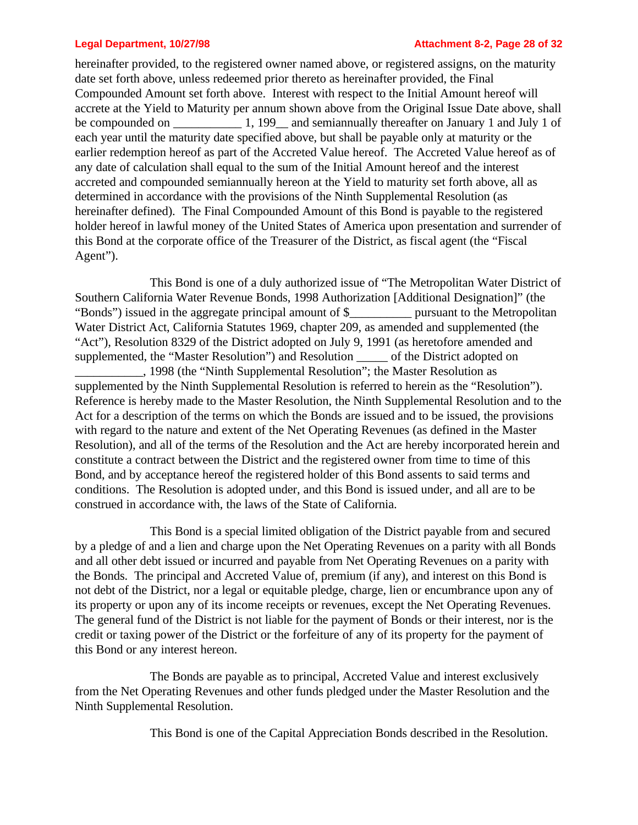### **Legal Department, 10/27/98 Attachment 8-2, Page 28 of 32**

hereinafter provided, to the registered owner named above, or registered assigns, on the maturity date set forth above, unless redeemed prior thereto as hereinafter provided, the Final Compounded Amount set forth above. Interest with respect to the Initial Amount hereof will accrete at the Yield to Maturity per annum shown above from the Original Issue Date above, shall be compounded on \_\_\_\_\_\_\_\_\_\_\_\_ 1, 199\_ and semiannually thereafter on January 1 and July 1 of each year until the maturity date specified above, but shall be payable only at maturity or the earlier redemption hereof as part of the Accreted Value hereof. The Accreted Value hereof as of any date of calculation shall equal to the sum of the Initial Amount hereof and the interest accreted and compounded semiannually hereon at the Yield to maturity set forth above, all as determined in accordance with the provisions of the Ninth Supplemental Resolution (as hereinafter defined). The Final Compounded Amount of this Bond is payable to the registered holder hereof in lawful money of the United States of America upon presentation and surrender of this Bond at the corporate office of the Treasurer of the District, as fiscal agent (the "Fiscal Agent").

This Bond is one of a duly authorized issue of "The Metropolitan Water District of Southern California Water Revenue Bonds, 1998 Authorization [Additional Designation]" (the "Bonds") issued in the aggregate principal amount of \$\_\_\_\_\_\_\_\_\_\_ pursuant to the Metropolitan Water District Act, California Statutes 1969, chapter 209, as amended and supplemented (the "Act"), Resolution 8329 of the District adopted on July 9, 1991 (as heretofore amended and supplemented, the "Master Resolution") and Resolution \_\_\_\_\_ of the District adopted on \_\_\_\_\_\_\_\_\_\_\_, 1998 (the "Ninth Supplemental Resolution"; the Master Resolution as supplemented by the Ninth Supplemental Resolution is referred to herein as the "Resolution"). Reference is hereby made to the Master Resolution, the Ninth Supplemental Resolution and to the Act for a description of the terms on which the Bonds are issued and to be issued, the provisions with regard to the nature and extent of the Net Operating Revenues (as defined in the Master Resolution), and all of the terms of the Resolution and the Act are hereby incorporated herein and constitute a contract between the District and the registered owner from time to time of this Bond, and by acceptance hereof the registered holder of this Bond assents to said terms and conditions. The Resolution is adopted under, and this Bond is issued under, and all are to be construed in accordance with, the laws of the State of California.

This Bond is a special limited obligation of the District payable from and secured by a pledge of and a lien and charge upon the Net Operating Revenues on a parity with all Bonds and all other debt issued or incurred and payable from Net Operating Revenues on a parity with the Bonds. The principal and Accreted Value of, premium (if any), and interest on this Bond is not debt of the District, nor a legal or equitable pledge, charge, lien or encumbrance upon any of its property or upon any of its income receipts or revenues, except the Net Operating Revenues. The general fund of the District is not liable for the payment of Bonds or their interest, nor is the credit or taxing power of the District or the forfeiture of any of its property for the payment of this Bond or any interest hereon.

The Bonds are payable as to principal, Accreted Value and interest exclusively from the Net Operating Revenues and other funds pledged under the Master Resolution and the Ninth Supplemental Resolution.

This Bond is one of the Capital Appreciation Bonds described in the Resolution.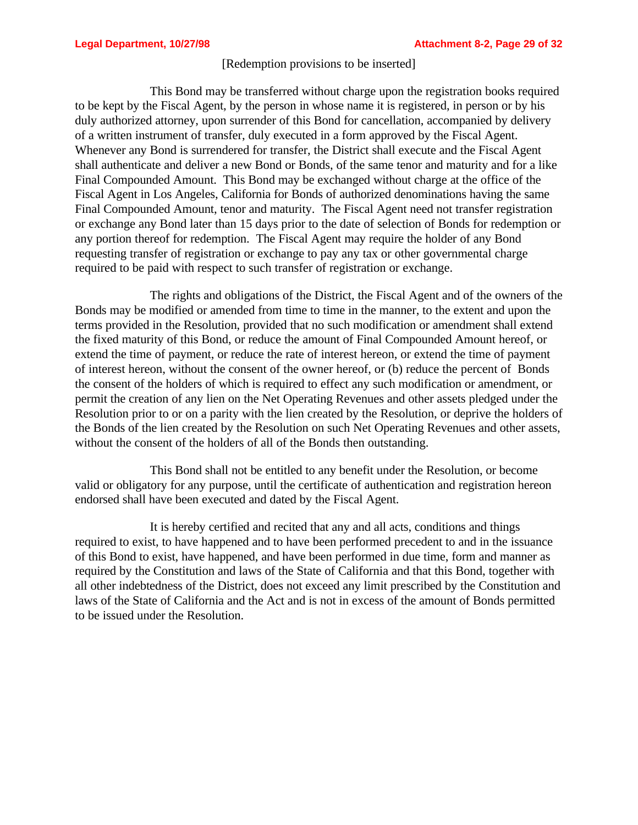### [Redemption provisions to be inserted]

This Bond may be transferred without charge upon the registration books required to be kept by the Fiscal Agent, by the person in whose name it is registered, in person or by his duly authorized attorney, upon surrender of this Bond for cancellation, accompanied by delivery of a written instrument of transfer, duly executed in a form approved by the Fiscal Agent. Whenever any Bond is surrendered for transfer, the District shall execute and the Fiscal Agent shall authenticate and deliver a new Bond or Bonds, of the same tenor and maturity and for a like Final Compounded Amount. This Bond may be exchanged without charge at the office of the Fiscal Agent in Los Angeles, California for Bonds of authorized denominations having the same Final Compounded Amount, tenor and maturity. The Fiscal Agent need not transfer registration or exchange any Bond later than 15 days prior to the date of selection of Bonds for redemption or any portion thereof for redemption. The Fiscal Agent may require the holder of any Bond requesting transfer of registration or exchange to pay any tax or other governmental charge required to be paid with respect to such transfer of registration or exchange.

The rights and obligations of the District, the Fiscal Agent and of the owners of the Bonds may be modified or amended from time to time in the manner, to the extent and upon the terms provided in the Resolution, provided that no such modification or amendment shall extend the fixed maturity of this Bond, or reduce the amount of Final Compounded Amount hereof, or extend the time of payment, or reduce the rate of interest hereon, or extend the time of payment of interest hereon, without the consent of the owner hereof, or (b) reduce the percent of Bonds the consent of the holders of which is required to effect any such modification or amendment, or permit the creation of any lien on the Net Operating Revenues and other assets pledged under the Resolution prior to or on a parity with the lien created by the Resolution, or deprive the holders of the Bonds of the lien created by the Resolution on such Net Operating Revenues and other assets, without the consent of the holders of all of the Bonds then outstanding.

This Bond shall not be entitled to any benefit under the Resolution, or become valid or obligatory for any purpose, until the certificate of authentication and registration hereon endorsed shall have been executed and dated by the Fiscal Agent.

It is hereby certified and recited that any and all acts, conditions and things required to exist, to have happened and to have been performed precedent to and in the issuance of this Bond to exist, have happened, and have been performed in due time, form and manner as required by the Constitution and laws of the State of California and that this Bond, together with all other indebtedness of the District, does not exceed any limit prescribed by the Constitution and laws of the State of California and the Act and is not in excess of the amount of Bonds permitted to be issued under the Resolution.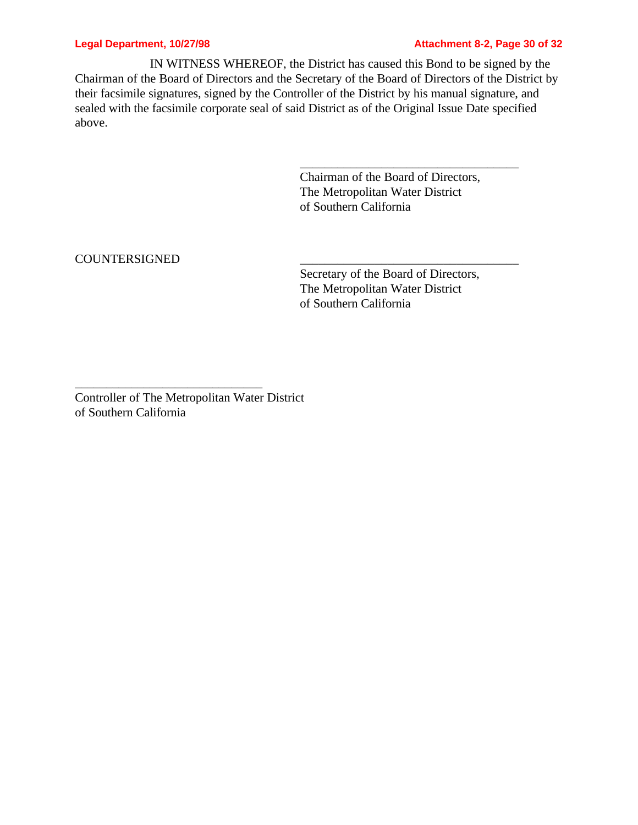### **Legal Department, 10/27/98 Attachment 8-2, Page 30 of 32**

IN WITNESS WHEREOF, the District has caused this Bond to be signed by the Chairman of the Board of Directors and the Secretary of the Board of Directors of the District by their facsimile signatures, signed by the Controller of the District by his manual signature, and sealed with the facsimile corporate seal of said District as of the Original Issue Date specified above.

> Chairman of the Board of Directors, The Metropolitan Water District of Southern California

\_\_\_\_\_\_\_\_\_\_\_\_\_\_\_\_\_\_\_\_\_\_\_\_\_\_\_\_\_\_\_\_\_\_\_

COUNTERSIGNED \_\_\_\_\_\_\_\_\_\_\_\_\_\_\_\_\_\_\_\_\_\_\_\_\_\_\_\_\_\_\_\_\_\_\_

Secretary of the Board of Directors, The Metropolitan Water District of Southern California

Controller of The Metropolitan Water District of Southern California

\_\_\_\_\_\_\_\_\_\_\_\_\_\_\_\_\_\_\_\_\_\_\_\_\_\_\_\_\_\_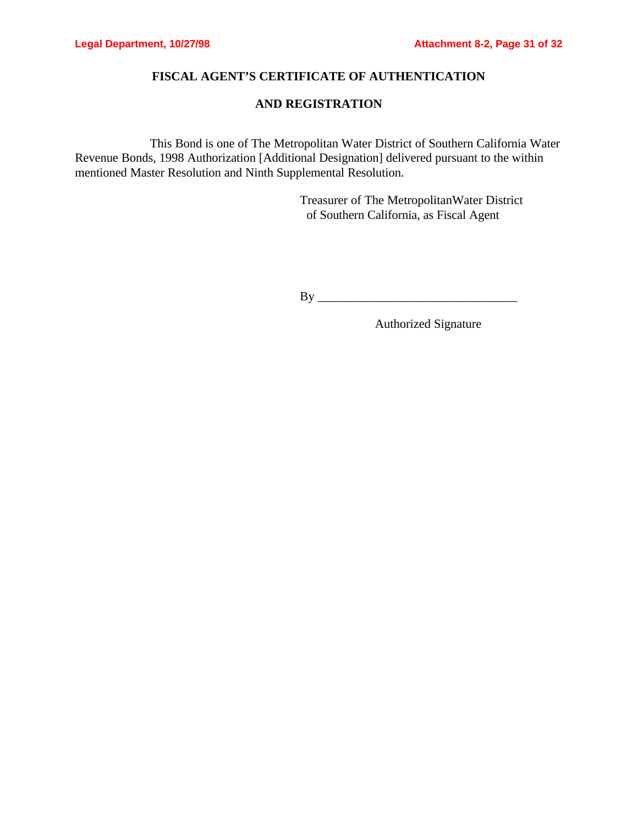## **FISCAL AGENT'S CERTIFICATE OF AUTHENTICATION**

## **AND REGISTRATION**

This Bond is one of The Metropolitan Water District of Southern California Water Revenue Bonds, 1998 Authorization [Additional Designation] delivered pursuant to the within mentioned Master Resolution and Ninth Supplemental Resolution.

> Treasurer of The MetropolitanWater District of Southern California, as Fiscal Agent

By \_\_\_\_\_\_\_\_\_\_\_\_\_\_\_\_\_\_\_\_\_\_\_\_\_\_\_\_\_\_\_\_

Authorized Signature